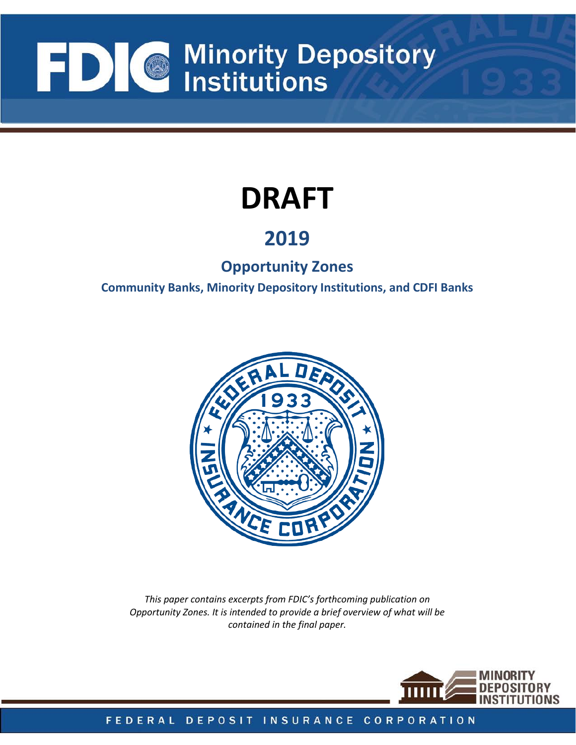# FDIC Minority Depository  $\blacksquare$  Institutions

# **DRAFT**

### **2019**

### **Opportunity Zones**

**Community Banks, Minority Depository Institutions, and CDFI Banks** 



 *Opportunity Zones. It is intended to provide a brief overview of what will be This paper contains excerpts from FDIC's forthcoming publication on contained in the final paper.* 

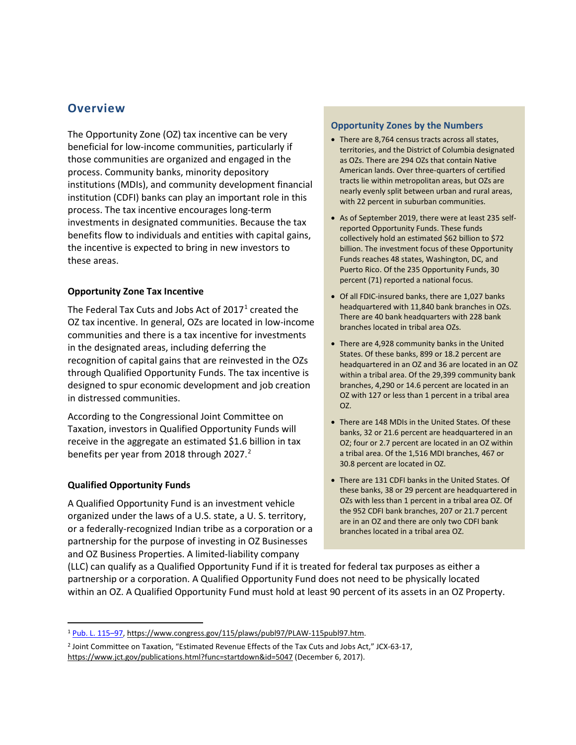#### **Overview**

 investments in designated communities. Because the tax The Opportunity Zone (OZ) tax incentive can be very beneficial for low-income communities, particularly if those communities are organized and engaged in the process. Community banks, minority depository institutions (MDIs), and community development financial institution (CDFI) banks can play an important role in this process. The tax incentive encourages long-term benefits flow to individuals and entities with capital gains, the incentive is expected to bring in new investors to these areas.

#### **Opportunity Zone Tax Incentive**

The Federal Tax Cuts and Jobs Act of 20[1](#page-1-0)7<sup>1</sup> created the recognition of capital gains that are reinvested in the OZs designed to spur economic development and job creation OZ tax incentive. In general, OZs are located in low-income communities and there is a tax incentive for investments in the designated areas, including deferring the through Qualified Opportunity Funds. The tax incentive is in distressed communities.

According to the Congressional Joint Committee on Taxation, investors in Qualified Opportunity Funds will receive in the aggregate an estimated \$1.6 billion in tax benefits per year from [2](#page-1-1)018 through 2027.<sup>2</sup>

#### **Qualified Opportunity Funds**

l

 A Qualified Opportunity Fund is an investment vehicle partnership for the purpose of investing in OZ Businesses organized under the laws of a U.S. state, a U. S. territory, or a federally-recognized Indian tribe as a corporation or a and OZ Business Properties. A limited-liability company

#### **Opportunity Zones by the Numbers**

- There are 8,764 census tracts across all states, territories, and the District of Columbia designated as OZs. There are 294 OZs that contain Native American lands. Over three-quarters of certified tracts lie within metropolitan areas, but OZs are nearly evenly split between urban and rural areas, with 22 percent in suburban communities.
- As of September 2019, there were at least 235 selfreported Opportunity Funds. These funds collectively hold an estimated \$62 billion to \$72 billion. The investment focus of these Opportunity Funds reaches 48 states, Washington, DC, and Puerto Rico. Of the 235 Opportunity Funds, 30 percent (71) reported a national focus.
- Of all FDIC-insured banks, there are 1,027 banks headquartered with 11,840 bank branches in OZs. There are 40 bank headquarters with 228 bank branches located in tribal area OZs.
- There are 4,928 community banks in the United States. Of these banks, 899 or 18.2 percent are headquartered in an OZ and 36 are located in an OZ within a tribal area. Of the 29,399 community bank branches, 4,290 or 14.6 percent are located in an OZ with 127 or less than 1 percent in a tribal area OZ.
- There are 148 MDIs in the United States. Of these banks, 32 or 21.6 percent are headquartered in an OZ; four or 2.7 percent are located in an OZ within a tribal area. Of the 1,516 MDI branches, 467 or 30.8 percent are located in OZ.
- OZs with less than 1 percent in a tribal area OZ. Of • There are 131 CDFI banks in the United States. Of these banks, 38 or 29 percent are headquartered in the 952 CDFI bank branches, 207 or 21.7 percent are in an OZ and there are only two CDFI bank branches located in a tribal area OZ.

 (LLC) can qualify as a Qualified Opportunity Fund if it is treated for federal tax purposes as either a within an OZ. A Qualified Opportunity Fund must hold at least 90 percent of its assets in an OZ Property. partnership or a corporation. A Qualified Opportunity Fund does not need to be physically located

<span id="page-1-0"></span><sup>&</sup>lt;sup>1</sup> Pub. L. 115-97, https://www.congress.gov/115/plaws/publ97/PLAW-115publ97.htm.

<span id="page-1-1"></span><sup>2</sup> Joint Committee on Taxation, "Estimated Revenue Effects of the Tax Cuts and Jobs Act," JCX-63-17, [https://www.jct.gov/publications.html?func=startdown&id=5047 \(](https://www.jct.gov/publications.html?func=startdown&id=5047)December 6, 2017).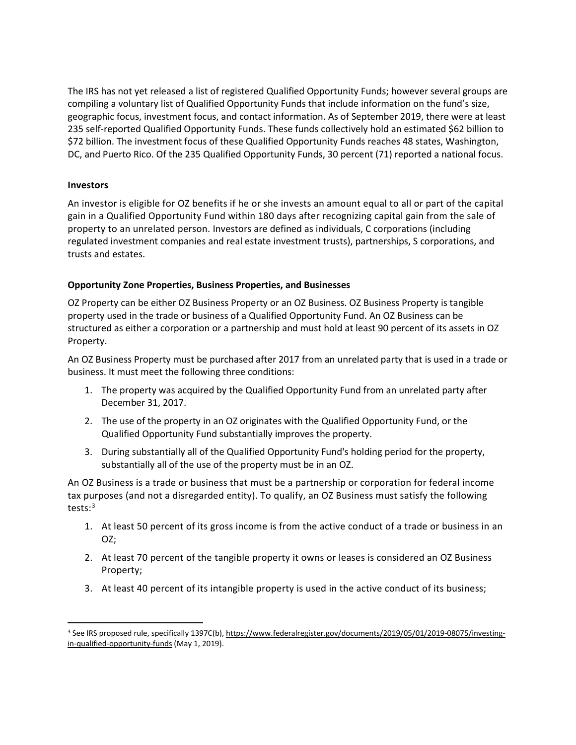235 self-reported Qualified Opportunity Funds. These funds collectively hold an estimated \$62 billion to DC, and Puerto Rico. Of the 235 Qualified Opportunity Funds, 30 percent (71) reported a national focus. The IRS has not yet released a list of registered Qualified Opportunity Funds; however several groups are compiling a voluntary list of Qualified Opportunity Funds that include information on the fund's size, geographic focus, investment focus, and contact information. As of September 2019, there were at least \$72 billion. The investment focus of these Qualified Opportunity Funds reaches 48 states, Washington,

#### **Investors**

 $\overline{a}$ 

 An investor is eligible for OZ benefits if he or she invests an amount equal to all or part of the capital property to an unrelated person. Investors are defined as individuals, C corporations (including gain in a Qualified Opportunity Fund within 180 days after recognizing capital gain from the sale of regulated investment companies and real estate investment trusts), partnerships, S corporations, and trusts and estates.

#### **Opportunity Zone Properties, Business Properties, and Businesses**

 OZ Property can be either OZ Business Property or an OZ Business. OZ Business Property is tangible property used in the trade or business of a Qualified Opportunity Fund. An OZ Business can be structured as either a corporation or a partnership and must hold at least 90 percent of its assets in OZ Property.

 An OZ Business Property must be purchased after 2017 from an unrelated party that is used in a trade or business. It must meet the following three conditions:

- 1. The property was acquired by the Qualified Opportunity Fund from an unrelated party after December 31, 2017.
- 2. The use of the property in an OZ originates with the Qualified Opportunity Fund, or the Qualified Opportunity Fund substantially improves the property.
- substantially all of the use of the property must be in an OZ. 3. During substantially all of the Qualified Opportunity Fund's holding period for the property,

 An OZ Business is a trade or business that must be a partnership or corporation for federal income tax purposes (and not a disregarded entity). To qualify, an OZ Business must satisfy the following tests:[3](#page-2-0)

- 1. At least 50 percent of its gross income is from the active conduct of a trade or business in an OZ;
- 2. At least 70 percent of the tangible property it owns or leases is considered an OZ Business Property;
- 3. At least 40 percent of its intangible property is used in the active conduct of its business;

<span id="page-2-0"></span><sup>3</sup> See IRS proposed rule, specifically 1397C(b)[, https://www.federalregister.gov/documents/2019/05/01/2019-08075/investing](https://www.federalregister.gov/documents/2019/05/01/2019-08075/investing-in-qualified-opportunity-funds)[in-qualified-opportunity-funds](https://www.federalregister.gov/documents/2019/05/01/2019-08075/investing-in-qualified-opportunity-funds) (May 1, 2019).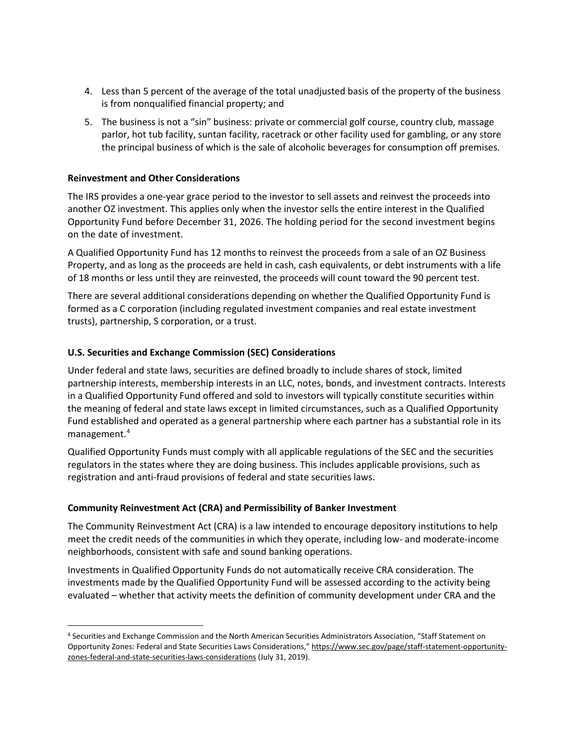- 4. Less than 5 percent of the average of the total unadjusted basis of the property of the business is from nonqualified financial property; and
- 5. The business is not a "sin" business: private or commercial golf course, country club, massage the principal business of which is the sale of alcoholic beverages for consumption off premises. parlor, hot tub facility, suntan facility, racetrack or other facility used for gambling, or any store

#### **Reinvestment and Other Considerations**

 $\overline{a}$ 

 another OZ investment. This applies only when the investor sells the entire interest in the Qualified Opportunity Fund before December 31, 2026. The holding period for the second investment begins on the date of investment. The IRS provides a one-year grace period to the investor to sell assets and reinvest the proceeds into

 A Qualified Opportunity Fund has 12 months to reinvest the proceeds from a sale of an OZ Business of 18 months or less until they are reinvested, the proceeds will count toward the 90 percent test. Property, and as long as the proceeds are held in cash, cash equivalents, or debt instruments with a life

There are several additional considerations depending on whether the Qualified Opportunity Fund is formed as a C corporation (including regulated investment companies and real estate investment trusts), partnership, S corporation, or a trust.

#### **U.S. Securities and Exchange Commission (SEC) Considerations**

 partnership interests, membership interests in an LLC, notes, bonds, and investment contracts. Interests in a Qualified Opportunity Fund offered and sold to investors will typically constitute securities within the meaning of federal and state laws except in limited circumstances, such as a Qualified Opportunity Fund established and operated as a general partnership where each partner has a substantial role in its Under federal and state laws, securities are defined broadly to include shares of stock, limited management. [4](#page-3-0)

 Qualified Opportunity Funds must comply with all applicable regulations of the SEC and the securities regulators in the states where they are doing business. This includes applicable provisions, such as registration and anti-fraud provisions of federal and state securities laws.

#### **Community Reinvestment Act (CRA) and Permissibility of Banker Investment**

 The Community Reinvestment Act (CRA) is a law intended to encourage depository institutions to help meet the credit needs of the communities in which they operate, including low- and moderate-income neighborhoods, consistent with safe and sound banking operations.

 evaluated – whether that activity meets the definition of community development under CRA and the Investments in Qualified Opportunity Funds do not automatically receive CRA consideration. The investments made by the Qualified Opportunity Fund will be assessed according to the activity being

<span id="page-3-0"></span><sup>4</sup> Securities and Exchange Commission and the North American Securities Administrators Association, "Staff Statement on Opportunity Zones: Federal and State Securities Laws Considerations,[" https://www.sec.gov/page/staff-statement-opportunity](https://www.sec.gov/page/staff-statement-opportunity-zones-federal-and-state-securities-laws-considerations)[zones-federal-and-state-securities-laws-considerations \(](https://www.sec.gov/page/staff-statement-opportunity-zones-federal-and-state-securities-laws-considerations)July 31, 2019).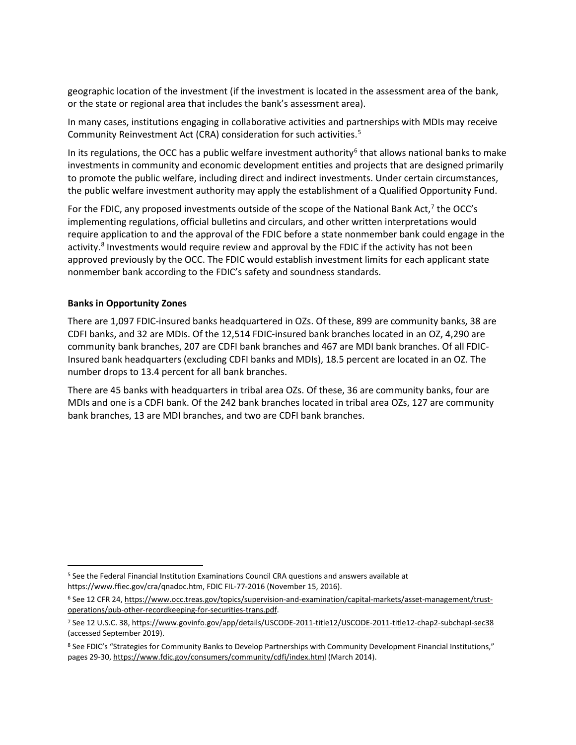or the state or regional area that includes the bank's assessment area). geographic location of the investment (if the investment is located in the assessment area of the bank,

or the state or regional area that includes the bank's assessment area).<br>In many cases, institutions engaging in collaborative activities and partnerships with MDIs may receive Community Reinvestment Act (CRA) consideration for such activities. [5](#page-4-0)

In its regulations, the OCC has a public welfare investment authority<sup>[6](#page-4-1)</sup> that allows national banks to make investments in community and economic development entities and projects that are designed primarily to promote the public welfare, including direct and indirect investments. Under certain circumstances, the public welfare investment authority may apply the establishment of a Qualified Opportunity Fund.

For the FDIC, any proposed investments outside of the scope of the National Bank Act, $^7$  the OCC's implementing regulations, official bulletins and circulars, and other written interpretations would require application to and the approval of the FDIC before a state nonmember bank could engage in the activity.<sup>[8](#page-4-3)</sup> Investments would require review and approval by the FDIC if the activity has not been approved previously by the OCC. The FDIC would establish investment limits for each applicant state nonmember bank according to the FDIC's safety and soundness standards.

#### **Banks in Opportunity Zones**

 $\overline{a}$ 

 CDFI banks, and 32 are MDIs. Of the 12,514 FDIC-insured bank branches located in an OZ, 4,290 are There are 1,097 FDIC-insured banks headquartered in OZs. Of these, 899 are community banks, 38 are community bank branches, 207 are CDFI bank branches and 467 are MDI bank branches. Of all FDIC-Insured bank headquarters (excluding CDFI banks and MDIs), 18.5 percent are located in an OZ. The number drops to 13.4 percent for all bank branches.

There are 45 banks with headquarters in tribal area OZs. Of these, 36 are community banks, four are MDIs and one is a CDFI bank. Of the 242 bank branches located in tribal area OZs, 127 are community bank branches, 13 are MDI branches, and two are CDFI bank branches.

<span id="page-4-0"></span><sup>5</sup> See the Federal Financial Institution Examinations Council CRA questions and answers available at https://www.ffiec.gov/cra/qnadoc.htm, FDIC FIL-77-2016 (November 15, 2016).

<span id="page-4-1"></span><sup>&</sup>lt;sup>6</sup> See 12 CFR 24[, https://www.occ.treas.gov/topics/supervision-and-examination/capital-markets/asset-management/trust](https://www.occ.treas.gov/topics/supervision-and-examination/capital-markets/asset-management/trust-operations/pub-other-recordkeeping-for-securities-trans.pdf)[operations/pub-other-recordkeeping-for-securities-trans.pdf.](https://www.occ.treas.gov/topics/supervision-and-examination/capital-markets/asset-management/trust-operations/pub-other-recordkeeping-for-securities-trans.pdf) 

<span id="page-4-2"></span><sup>7</sup> See 12 U.S.C. 38[, https://www.govinfo.gov/app/details/USCODE-2011-title12/USCODE-2011-title12-chap2-subchapI-sec38](https://www.govinfo.gov/app/details/USCODE-2011-title12/USCODE-2011-title12-chap2-subchapI-sec38)  (accessed September 2019).

<span id="page-4-3"></span><sup>8</sup> See FDIC's "Strategies for Community Banks to Develop Partnerships with Community Development Financial Institutions," pages 29-30[, https://www.fdic.gov/consumers/community/cdfi/index.html \(](https://www.fdic.gov/consumers/community/cdfi/index.html)March 2014).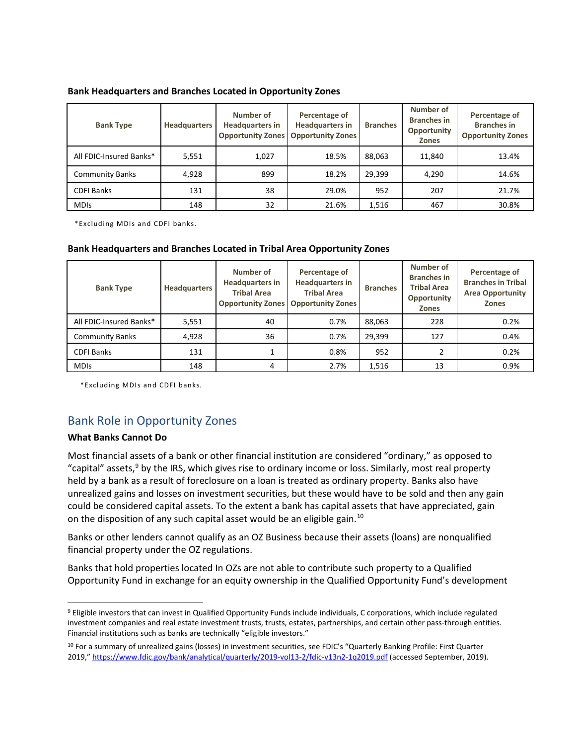#### **Bank Headquarters and Branches Located in Opportunity Zones**

| <b>Bank Type</b>        | <b>Headquarters</b> | Number of<br><b>Headquarters in</b><br><b>Opportunity Zones</b> | Percentage of<br><b>Headquarters in</b><br><b>Opportunity Zones</b> | <b>Branches</b> | Number of<br><b>Branches in</b><br>Opportunity<br><b>Zones</b> | Percentage of<br><b>Branches in</b><br><b>Opportunity Zones</b> |
|-------------------------|---------------------|-----------------------------------------------------------------|---------------------------------------------------------------------|-----------------|----------------------------------------------------------------|-----------------------------------------------------------------|
| All FDIC-Insured Banks* | 5,551               | 1,027                                                           | 18.5%                                                               | 88,063          | 11,840                                                         | 13.4%                                                           |
| <b>Community Banks</b>  | 4,928               | 899                                                             | 18.2%                                                               | 29,399          | 4,290                                                          | 14.6%                                                           |
| <b>CDFI Banks</b>       | 131                 | 38                                                              | 29.0%                                                               | 952             | 207                                                            | 21.7%                                                           |
| <b>MDIS</b>             | 148                 | 32                                                              | 21.6%                                                               | 1,516           | 467                                                            | 30.8%                                                           |

\*Excluding MDIs and CDFI banks.

| Bank Headquarters and Branches Located in Tribal Area Opportunity Zones |                     |                                                           |                                                                                                               |                 |                                                                                      |                                                                                       |
|-------------------------------------------------------------------------|---------------------|-----------------------------------------------------------|---------------------------------------------------------------------------------------------------------------|-----------------|--------------------------------------------------------------------------------------|---------------------------------------------------------------------------------------|
| <b>Bank Type</b>                                                        | <b>Headquarters</b> | Number of<br><b>Headquarters in</b><br><b>Tribal Area</b> | Percentage of<br><b>Headquarters in</b><br><b>Tribal Area</b><br><b>Opportunity Zones   Opportunity Zones</b> | <b>Branches</b> | Number of<br><b>Branches in</b><br><b>Tribal Area</b><br>Opportunity<br><b>Zones</b> | Percentage of<br><b>Branches in Tribal</b><br><b>Area Opportunity</b><br><b>Zones</b> |
| All FDIC-Insured Banks*                                                 | 5,551               | 40                                                        | 0.7%                                                                                                          | 88,063          | 228                                                                                  | 0.2%                                                                                  |
| <b>Community Banks</b>                                                  | 4,928               | 36                                                        | 0.7%                                                                                                          | 29,399          | 127                                                                                  | 0.4%                                                                                  |
| <b>CDFI Banks</b>                                                       | 131                 |                                                           | 0.8%                                                                                                          | 952             | 2                                                                                    | 0.2%                                                                                  |
| <b>MDIs</b>                                                             | 148                 | 4                                                         | 2.7%                                                                                                          | 1,516           | 13                                                                                   | 0.9%                                                                                  |

\*Excluding MDIs and CDFI banks*.* 

#### Bank Role in Opportunity Zones

#### **What Banks Cannot Do**

 $\overline{\phantom{a}}$ 

 Most financial assets of a bank or other financial institution are considered "ordinary," as opposed to held by a bank as a result of foreclosure on a loan is treated as ordinary property. Banks also have on the disposition of any such capital asset would be an eligible gain.<sup>10</sup> "capital" assets,<sup>9</sup> by the IRS, which gives rise to ordinary income or loss. Similarly, most real property unrealized gains and losses on investment securities, but these would have to be sold and then any gain could be considered capital assets. To the extent a bank has capital assets that have appreciated, gain

Banks or other lenders cannot qualify as an OZ Business because their assets (loans) are nonqualified financial property under the OZ regulations.

Banks that hold properties located In OZs are not able to contribute such property to a Qualified Opportunity Fund in exchange for an equity ownership in the Qualified Opportunity Fund's development

<span id="page-5-0"></span><sup>&</sup>lt;sup>9</sup> Eligible investors that can invest in Qualified Opportunity Funds include individuals, C corporations, which include regulated investment companies and real estate investment trusts, trusts, estates, partnerships, and certain other pass-through entities. Financial institutions such as banks are technically "eligible investors."

<span id="page-5-1"></span><sup>10</sup> For a summary of unrealized gains (losses) in investment securities, see FDIC's "Quarterly Banking Profile: First Quarter 2019,[" https://www.fdic.gov/bank/analytical/quarterly/2019-vol13-2/fdic-v13n2-1q2019.pdf](https://www.fdic.gov/bank/analytical/quarterly/2019-vol13-2/fdic-v13n2-1q2019.pdf) (accessed September, 2019).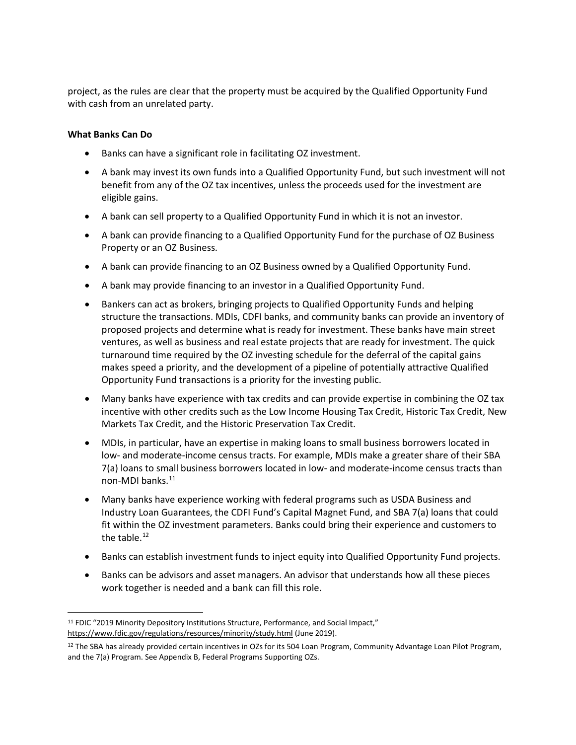project, as the rules are clear that the property must be acquired by the Qualified Opportunity Fund with cash from an unrelated party.

#### **What Banks Can Do**

<u>.</u>

- Banks can have a significant role in facilitating OZ investment.
- benefit from any of the OZ tax incentives, unless the proceeds used for the investment are • A bank may invest its own funds into a Qualified Opportunity Fund, but such investment will not eligible gains.
- A bank can sell property to a Qualified Opportunity Fund in which it is not an investor.
- A bank can provide financing to a Qualified Opportunity Fund for the purchase of OZ Business Property or an OZ Business.
- A bank can provide financing to an OZ Business owned by a Qualified Opportunity Fund.
- A bank may provide financing to an investor in a Qualified Opportunity Fund.
- structure the transactions. MDIs, CDFI banks, and community banks can provide an inventory of ventures, as well as business and real estate projects that are ready for investment. The quick turnaround time required by the OZ investing schedule for the deferral of the capital gains makes speed a priority, and the development of a pipeline of potentially attractive Qualified • Bankers can act as brokers, bringing projects to Qualified Opportunity Funds and helping proposed projects and determine what is ready for investment. These banks have main street Opportunity Fund transactions is a priority for the investing public.
- incentive with other credits such as the Low Income Housing Tax Credit, Historic Tax Credit, New Markets Tax Credit, and the Historic Preservation Tax Credit. • Many banks have experience with tax credits and can provide expertise in combining the OZ tax
- 7(a) loans to small business borrowers located in low- and moderate-income census tracts than non-MDI banks.<sup>11</sup> • MDIs, in particular, have an expertise in making loans to small business borrowers located in low- and moderate-income census tracts. For example, MDIs make a greater share of their SBA
- the table. $^{12}$ • Many banks have experience working with federal programs such as USDA Business and Industry Loan Guarantees, the CDFI Fund's Capital Magnet Fund, and SBA 7(a) loans that could fit within the OZ investment parameters. Banks could bring their experience and customers to
- Banks can establish investment funds to inject equity into Qualified Opportunity Fund projects.
- • Banks can be advisors and asset managers. An advisor that understands how all these pieces work together is needed and a bank can fill this role.

<span id="page-6-0"></span><sup>&</sup>lt;sup>11</sup> FDIC "2019 Minority Depository Institutions Structure, Performance, and Social Impact," [https://www.fdic.gov/regulations/resources/minority/study.html \(](https://www.fdic.gov/regulations/resources/minority/study.html)June 2019).

<span id="page-6-1"></span><sup>&</sup>lt;sup>12</sup> The SBA has already provided certain incentives in OZs for its 504 Loan Program, Community Advantage Loan Pilot Program, and the 7(a) Program. See Appendix B, Federal Programs Supporting OZs.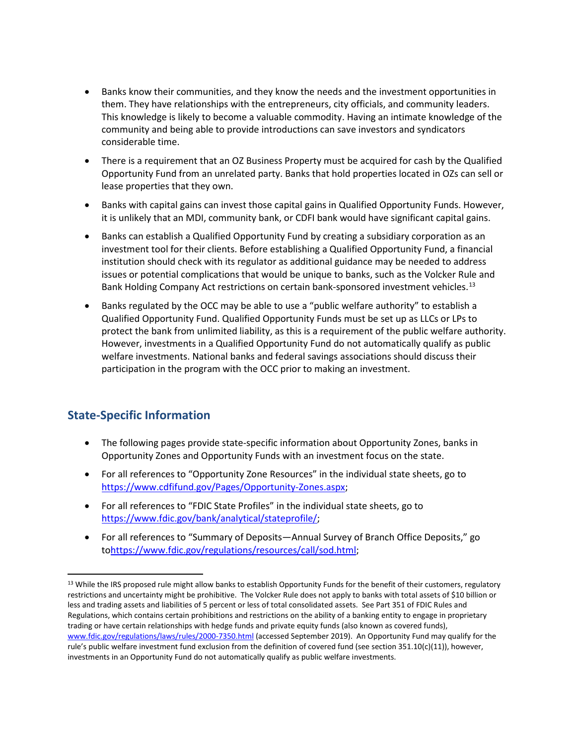- This knowledge is likely to become a valuable commodity. Having an intimate knowledge of the • Banks know their communities, and they know the needs and the investment opportunities in them. They have relationships with the entrepreneurs, city officials, and community leaders. community and being able to provide introductions can save investors and syndicators considerable time.
- Opportunity Fund from an unrelated party. Banks that hold properties located in OZs can sell or • There is a requirement that an OZ Business Property must be acquired for cash by the Qualified lease properties that they own.
- it is unlikely that an MDI, community bank, or CDFI bank would have significant capital gains. • Banks with capital gains can invest those capital gains in Qualified Opportunity Funds. However,
- institution should check with its regulator as additional guidance may be needed to address issues or potential complications that would be unique to banks, such as the Volcker Rule and • Banks can establish a Qualified Opportunity Fund by creating a subsidiary corporation as an investment tool for their clients. Before establishing a Qualified Opportunity Fund, a financial Bank Holding Company Act restrictions on certain bank-sponsored investment vehicles.<sup>13</sup>
- Qualified Opportunity Fund. Qualified Opportunity Funds must be set up as LLCs or LPs to • Banks regulated by the OCC may be able to use a "public welfare authority" to establish a protect the bank from unlimited liability, as this is a requirement of the public welfare authority. However, investments in a Qualified Opportunity Fund do not automatically qualify as public welfare investments. National banks and federal savings associations should discuss their participation in the program with the OCC prior to making an investment.

#### **State-Specific Information**

 $\overline{a}$ 

- • The following pages provide state-specific information about Opportunity Zones, banks in Opportunity Zones and Opportunity Funds with an investment focus on the state.
- • For all references to "Opportunity Zone Resources" in the individual state sheets, go to [https://www.cdfifund.gov/Pages/Opportunity-Zones.aspx;](https://www.cdfifund.gov/Pages/Opportunity-Zones.aspx)
- • For all references to "FDIC State Profiles" in the individual state sheets, go to [https://www.fdic.gov/bank/analytical/stateprofile/;](https://www.fdic.gov/bank/analytical/stateprofile/)
- For all references to "Summary of Deposits—Annual Survey of Branch Office Deposits," go t[ohttps://www.fdic.gov/regulations/resources/call/sod.html;](https://www.fdic.gov/regulations/resources/call/sod.html)

<span id="page-7-0"></span> restrictions and uncertainty might be prohibitive. The Volcker Rule does not apply to banks with total assets of \$10 billion or less and trading assets and liabilities of 5 percent or less of total consolidated assets. See Part 351 of FDIC Rules and <sup>13</sup> While the IRS proposed rule might allow banks to establish Opportunity Funds for the benefit of their customers, regulatory Regulations, which contains certain prohibitions and restrictions on the ability of a banking entity to engage in proprietary trading or have certain relationships with hedge funds and private equity funds (also known as covered funds), [www.fdic.gov/regulations/laws/rules/2000-7350.html \(](http://www.fdic.gov/regulations/laws/rules/2000-7350.html)accessed September 2019). An Opportunity Fund may qualify for the rule's public welfare investment fund exclusion from the definition of covered fund (see section 351.10(c)(11)), however, investments in an Opportunity Fund do not automatically qualify as public welfare investments.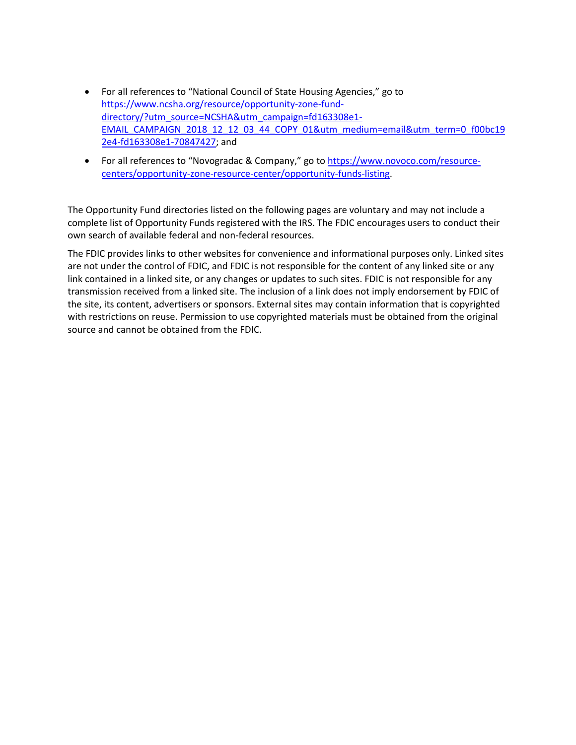- For all references to "National Council of State Housing Agencies," go to [https://www.ncsha.org/resource/opportunity-zone-fund](https://www.ncsha.org/resource/opportunity-zone-fund-directory/?utm_source=NCSHA&utm_campaign=fd163308e1-EMAIL_CAMPAIGN_2018_12_12_03_44_COPY_01&utm_medium=email&utm_term=0_f00bc192e4-fd163308e1-70847427)[directory/?utm\\_source=NCSHA&utm\\_campaign=fd163308e1-](https://www.ncsha.org/resource/opportunity-zone-fund-directory/?utm_source=NCSHA&utm_campaign=fd163308e1-EMAIL_CAMPAIGN_2018_12_12_03_44_COPY_01&utm_medium=email&utm_term=0_f00bc192e4-fd163308e1-70847427) EMAIL\_CAMPAIGN\_2018\_12\_12\_03\_44\_COPY\_01&utm\_medium=email&utm\_term=0\_f00bc19 [2e4-fd163308e1-70847427;](https://www.ncsha.org/resource/opportunity-zone-fund-directory/?utm_source=NCSHA&utm_campaign=fd163308e1-EMAIL_CAMPAIGN_2018_12_12_03_44_COPY_01&utm_medium=email&utm_term=0_f00bc192e4-fd163308e1-70847427) and
- For all references to "Novogradac & Company," go to [https://www.novoco.com/resource](https://www.novoco.com/resource-centers/opportunity-zone-resource-center/opportunity-funds-listing)[centers/opportunity-zone-resource-center/opportunity-funds-listing.](https://www.novoco.com/resource-centers/opportunity-zone-resource-center/opportunity-funds-listing)

 complete list of Opportunity Funds registered with the IRS. The FDIC encourages users to conduct their The Opportunity Fund directories listed on the following pages are voluntary and may not include a own search of available federal and non-federal resources.

 The FDIC provides links to other websites for convenience and informational purposes only. Linked sites transmission received from a linked site. The inclusion of a link does not imply endorsement by FDIC of with restrictions on reuse. Permission to use copyrighted materials must be obtained from the original are not under the control of FDIC, and FDIC is not responsible for the content of any linked site or any link contained in a linked site, or any changes or updates to such sites. FDIC is not responsible for any the site, its content, advertisers or sponsors. External sites may contain information that is copyrighted source and cannot be obtained from the FDIC.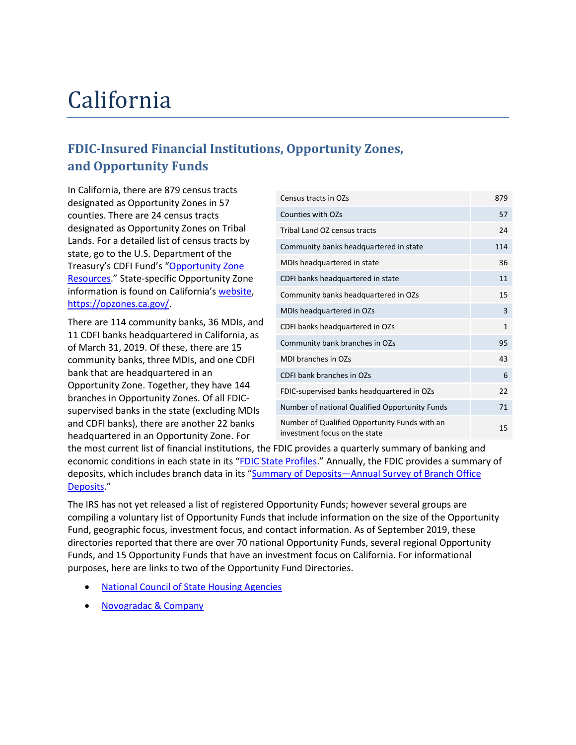## California

### **FDIC-Insured Financial Institutions, Opportunity Zones, and Opportunity Funds**

 designated as Opportunity Zones in 57 counties. There are 24 census tracts designated as Opportunity Zones on Tribal [Resources.](https://www.cdfifund.gov/Pages/Opportunity-Zones.aspx)" State-specific Opportunity Zone information is found on California's [website,](https://opzones.ca.gov/) In California, there are 879 census tracts Lands. For a detailed list of census tracts by state, go to the U.S. Department of the Treasury's CDFI Fund's ["Opportunity Zone](https://www.cdfifund.gov/Pages/Opportunity-Zones.aspx)  [https://opzones.ca.gov/.](https://opzones.ca.gov/)

 community banks, three MDIs, and one CDFI and CDFI banks), there are another 22 banks There are 114 community banks, 36 MDIs, and 11 CDFI banks headquartered in California, as of March 31, 2019. Of these, there are 15 bank that are headquartered in an Opportunity Zone. Together, they have 144 branches in Opportunity Zones. Of all FDICsupervised banks in the state (excluding MDIs headquartered in an Opportunity Zone. For

| Census tracts in OZs                                                           | 879          |
|--------------------------------------------------------------------------------|--------------|
| <b>Counties with OZs</b>                                                       | 57           |
| Tribal Land OZ census tracts                                                   | 24           |
| Community banks headquartered in state                                         | 114          |
| MDIs headquartered in state                                                    | 36           |
| CDFI banks headquartered in state                                              | 11           |
| Community banks headquartered in OZs                                           | 15           |
| MDIs headquartered in OZs                                                      | 3            |
| CDFI banks headquartered in OZs                                                | $\mathbf{1}$ |
| Community bank branches in OZs                                                 | 95           |
| MDI branches in OZs                                                            | 43           |
| CDFI bank branches in OZs                                                      | 6            |
| FDIC-supervised banks headquartered in OZs                                     | 22           |
| Number of national Qualified Opportunity Funds                                 | 71           |
| Number of Qualified Opportunity Funds with an<br>investment focus on the state | 15           |

economic conditions in each state in its "EDIC State Profiles." Annually, the FDIC provides a summary of the most current list of financial institutions, the FDIC provides a quarterly summary of banking and deposits, which includes branch data in its ["Summary of Deposits—Annual Survey of Branch Office](https://www.fdic.gov/regulations/resources/call/sod.html)  [Deposits.](https://www.fdic.gov/regulations/resources/call/sod.html)"

 compiling a voluntary list of Opportunity Funds that include information on the size of the Opportunity purposes, here are links to two of the Opportunity Fund Directories. The IRS has not yet released a list of registered Opportunity Funds; however several groups are Fund, geographic focus, investment focus, and contact information. As of September 2019, these directories reported that there are over 70 national Opportunity Funds, several regional Opportunity Funds, and 15 Opportunity Funds that have an investment focus on California. For informational

- [National Council of State Housing Agencies](https://www.ncsha.org/resource/opportunity-zone-fund-directory/?utm_source=NCSHA&utm_campaign=fd163308e1-EMAIL_CAMPAIGN_2018_12_12_03_44_COPY_01&utm_medium=email&utm_term=0_f00bc192e4-fd163308e1-70847427)
- [Novogradac & Company](https://www.novoco.com/resource-centers/opportunity-zone-resource-center/opportunity-funds-listing)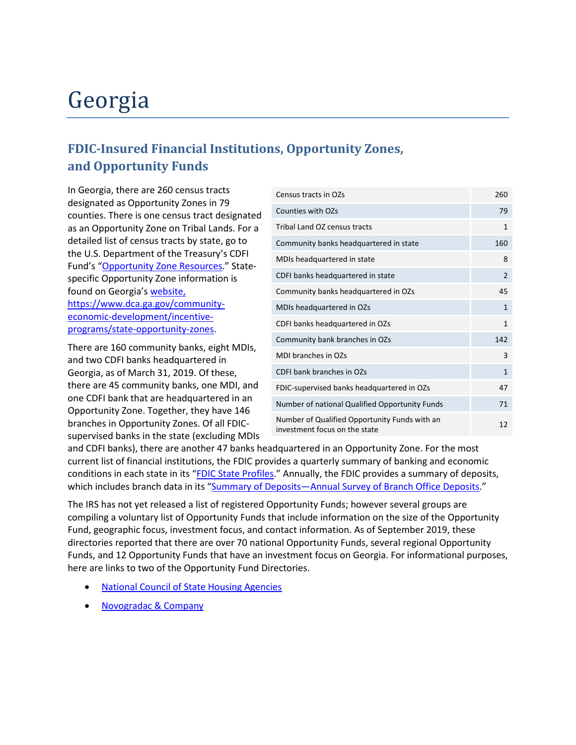## Georgia

### **FDIC-Insured Financial Institutions, Opportunity Zones, and Opportunity Funds**

 designated as Opportunity Zones in 79 detailed list of census tracts by state, go to In Georgia, there are 260 census tracts counties. There is one census tract designated as an Opportunity Zone on Tribal Lands. For a the U.S. Department of the Treasury's CDFI Fund's ["Opportunity Zone Resources.](https://www.cdfifund.gov/Pages/Opportunity-Zones.aspx)" Statespecific Opportunity Zone information is found on Georgia'[s website,](https://www.dca.ga.gov/community-economic-development/incentive-programs/state-opportunity-zones) [https://www.dca.ga.gov/community](https://www.dca.ga.gov/community-economic-development/incentive-programs/state-opportunity-zones)[economic-development/incentive](https://www.dca.ga.gov/community-economic-development/incentive-programs/state-opportunity-zones)[programs/state-opportunity-zones.](https://www.dca.ga.gov/community-economic-development/incentive-programs/state-opportunity-zones)

 There are 160 community banks, eight MDIs, Georgia, as of March 31, 2019. Of these, and two CDFI banks headquartered in there are 45 community banks, one MDI, and one CDFI bank that are headquartered in an Opportunity Zone. Together, they have 146 branches in Opportunity Zones. Of all FDICsupervised banks in the state (excluding MDIs

| Census tracts in OZs                                                           | 260            |
|--------------------------------------------------------------------------------|----------------|
| Counties with OZs                                                              | 79             |
| Tribal Land OZ census tracts                                                   | $\mathbf{1}$   |
| Community banks headquartered in state                                         | 160            |
| MDIs headquartered in state                                                    | 8              |
| CDFI banks headquartered in state                                              | $\overline{2}$ |
| Community banks headquartered in OZs                                           | 45             |
| MDIs headquartered in OZs                                                      | $\mathbf{1}$   |
| CDFI banks headquartered in OZs                                                | $\mathbf{1}$   |
| Community bank branches in OZs                                                 | 142            |
| MDI branches in OZs                                                            | 3              |
| CDFI bank branches in OZs                                                      | 1              |
| FDIC-supervised banks headquartered in OZs                                     | 47             |
| Number of national Qualified Opportunity Funds                                 | 71             |
| Number of Qualified Opportunity Funds with an<br>investment focus on the state | 12             |

 and CDFI banks), there are another 47 banks headquartered in an Opportunity Zone. For the most conditions in each state in its "**FDIC State Profiles**." Annually, the FDIC provides a summary of deposits, current list of financial institutions, the FDIC provides a quarterly summary of banking and economic which includes branch data in its ["Summary of Deposits—Annual Survey of Branch Office Deposits.](https://www.fdic.gov/regulations/resources/call/sod.html)"

 compiling a voluntary list of Opportunity Funds that include information on the size of the Opportunity here are links to two of the Opportunity Fund Directories. The IRS has not yet released a list of registered Opportunity Funds; however several groups are Fund, geographic focus, investment focus, and contact information. As of September 2019, these directories reported that there are over 70 national Opportunity Funds, several regional Opportunity Funds, and 12 Opportunity Funds that have an investment focus on Georgia. For informational purposes,

- [National Council of State Housing Agencies](https://www.ncsha.org/resource/opportunity-zone-fund-directory/?utm_source=NCSHA&utm_campaign=fd163308e1-EMAIL_CAMPAIGN_2018_12_12_03_44_COPY_01&utm_medium=email&utm_term=0_f00bc192e4-fd163308e1-70847427)
- [Novogradac & Company](https://www.novoco.com/resource-centers/opportunity-zone-resource-center/opportunity-funds-listing)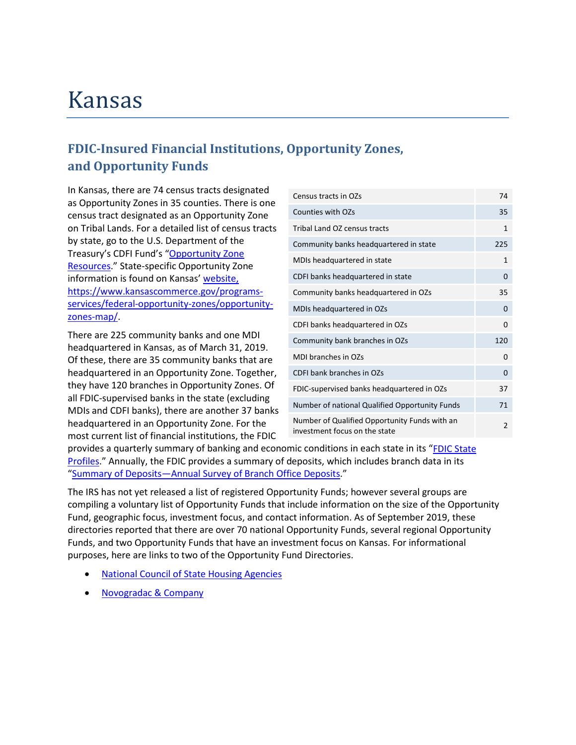### Kansas

### **FDIC-Insured Financial Institutions, Opportunity Zones, and Opportunity Funds**

 as Opportunity Zones in 35 counties. There is one by state, go to the U.S. Department of the [Resources.](https://www.cdfifund.gov/Pages/Opportunity-Zones.aspx)" State-specific Opportunity Zone information is found on Kansas' [website,](https://www.kansascommerce.gov/programs-services/federal-opportunity-zones/opportunity-zones-map/) In Kansas, there are 74 census tracts designated census tract designated as an Opportunity Zone on Tribal Lands. For a detailed list of census tracts Treasury's CDFI Fund's ["Opportunity Zone](https://www.cdfifund.gov/Pages/Opportunity-Zones.aspx)  [https://www.kansascommerce.gov/programs](https://www.kansascommerce.gov/programs-services/federal-opportunity-zones/opportunity-zones-map/)[services/federal-opportunity-zones/opportunity](https://www.kansascommerce.gov/programs-services/federal-opportunity-zones/opportunity-zones-map/)[zones-map/.](https://www.kansascommerce.gov/programs-services/federal-opportunity-zones/opportunity-zones-map/)

There are 225 community banks and one MDI headquartered in Kansas, as of March 31, 2019. Of these, there are 35 community banks that are headquartered in an Opportunity Zone. Together, they have 120 branches in Opportunity Zones. Of all FDIC-supervised banks in the state (excluding MDIs and CDFI banks), there are another 37 banks headquartered in an Opportunity Zone. For the most current list of financial institutions, the FDIC

| Census tracts in OZs                                                           | 74             |
|--------------------------------------------------------------------------------|----------------|
| Counties with OZs                                                              | 35             |
| Tribal Land OZ census tracts                                                   | $\mathbf{1}$   |
| Community banks headquartered in state                                         | 225            |
| MDIs headquartered in state                                                    | $\mathbf{1}$   |
| CDFI banks headquartered in state                                              | $\Omega$       |
| Community banks headquartered in OZs                                           | 35             |
| MDIs headquartered in OZs                                                      | $\Omega$       |
| CDFI banks headquartered in OZs                                                | 0              |
| Community bank branches in OZs                                                 | 120            |
| MDI branches in OZs                                                            | $\Omega$       |
| CDFI bank branches in OZs                                                      | $\Omega$       |
| FDIC-supervised banks headquartered in OZs                                     | 37             |
| Number of national Qualified Opportunity Funds                                 | 71             |
| Number of Qualified Opportunity Funds with an<br>investment focus on the state | $\overline{2}$ |

[Profiles.](https://www.fdic.gov/bank/analytical/stateprofile/)" Annually, the FDIC provides a summary of deposits, which includes branch data in its provides a quarterly summary of banking and economic conditions in each state in its ["FDIC State](https://www.fdic.gov/bank/analytical/stateprofile/)  ["Summary of Deposits—Annual Survey of Branch Office Deposits.](https://www.fdic.gov/regulations/resources/call/sod.html)"

 compiling a voluntary list of Opportunity Funds that include information on the size of the Opportunity purposes, here are links to two of the Opportunity Fund Directories. The IRS has not yet released a list of registered Opportunity Funds; however several groups are Fund, geographic focus, investment focus, and contact information. As of September 2019, these directories reported that there are over 70 national Opportunity Funds, several regional Opportunity Funds, and two Opportunity Funds that have an investment focus on Kansas. For informational

- **National Council of State Housing Agencies**
- [Novogradac & Company](https://www.novoco.com/resource-centers/opportunity-zone-resource-center/opportunity-funds-listing)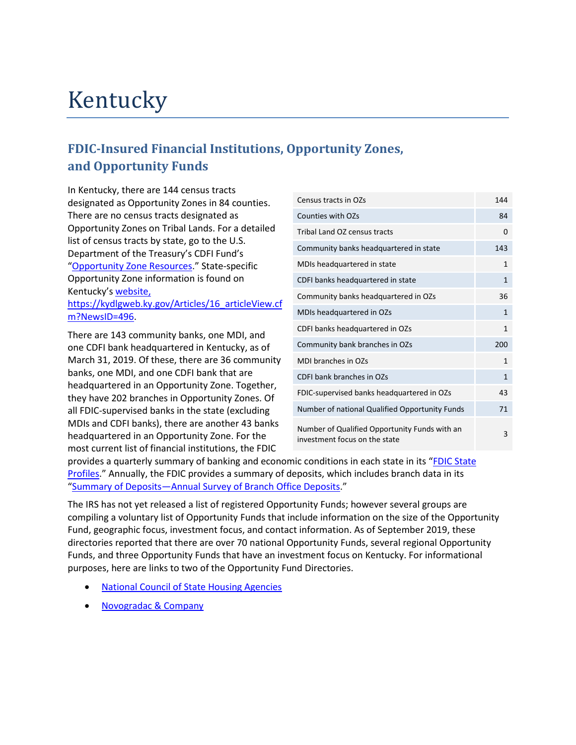## Kentucky

### **FDIC-Insured Financial Institutions, Opportunity Zones, and Opportunity Funds**

 designated as Opportunity Zones in 84 counties. In Kentucky, there are 144 census tracts There are no census tracts designated as Opportunity Zones on Tribal Lands. For a detailed list of census tracts by state, go to the U.S. Department of the Treasury's CDFI Fund's ["Opportunity Zone Resources.](https://www.cdfifund.gov/Pages/Opportunity-Zones.aspx)" State-specific Opportunity Zone information is found on Kentucky'[s website,](https://kydlgweb.ky.gov/Articles/16_articleView.cfm?NewsID=496)

[https://kydlgweb.ky.gov/Articles/16\\_articleView.cf](https://kydlgweb.ky.gov/Articles/16_articleView.cfm?NewsID=496)  [m?NewsID=496.](https://kydlgweb.ky.gov/Articles/16_articleView.cfm?NewsID=496)

 one CDFI bank headquartered in Kentucky, as of banks, one MDI, and one CDFI bank that are There are 143 community banks, one MDI, and March 31, 2019. Of these, there are 36 community headquartered in an Opportunity Zone. Together, they have 202 branches in Opportunity Zones. Of all FDIC-supervised banks in the state (excluding MDIs and CDFI banks), there are another 43 banks headquartered in an Opportunity Zone. For the most current list of financial institutions, the FDIC

| Census tracts in OZs                                                           | 144          |
|--------------------------------------------------------------------------------|--------------|
| Counties with OZs                                                              | 84           |
| Tribal Land OZ census tracts                                                   | 0            |
| Community banks headquartered in state                                         | 143          |
| MDIs headquartered in state                                                    | 1            |
| CDFI banks headquartered in state                                              | $\mathbf{1}$ |
| Community banks headquartered in OZs                                           | 36           |
| MDIs headquartered in OZs                                                      | $\mathbf{1}$ |
| CDFI banks headquartered in OZs                                                | 1            |
| Community bank branches in OZs                                                 | 200          |
| MDI branches in OZs                                                            | $\mathbf{1}$ |
| CDFI bank branches in OZs                                                      | $\mathbf{1}$ |
| FDIC-supervised banks headquartered in OZs                                     | 43           |
| Number of national Qualified Opportunity Funds                                 | 71           |
| Number of Qualified Opportunity Funds with an<br>investment focus on the state | 3            |

provides a quarterly summary of banking and economic conditions in each state in its ["FDIC State](https://www.fdic.gov/bank/analytical/stateprofile/)  [Profiles.](https://www.fdic.gov/bank/analytical/stateprofile/)" Annually, the FDIC provides a summary of deposits, which includes branch data in its ["Summary of Deposits—Annual Survey of Branch Office Deposits.](https://www.fdic.gov/regulations/resources/call/sod.html)"

 compiling a voluntary list of Opportunity Funds that include information on the size of the Opportunity Funds, and three Opportunity Funds that have an investment focus on Kentucky. For informational purposes, here are links to two of the Opportunity Fund Directories. The IRS has not yet released a list of registered Opportunity Funds; however several groups are Fund, geographic focus, investment focus, and contact information. As of September 2019, these directories reported that there are over 70 national Opportunity Funds, several regional Opportunity

- [National Council of State Housing Agencies](https://www.ncsha.org/resource/opportunity-zone-fund-directory/?utm_source=NCSHA&utm_campaign=fd163308e1-EMAIL_CAMPAIGN_2018_12_12_03_44_COPY_01&utm_medium=email&utm_term=0_f00bc192e4-fd163308e1-70847427)
- [Novogradac & Company](https://www.novoco.com/resource-centers/opportunity-zone-resource-center/opportunity-funds-listing)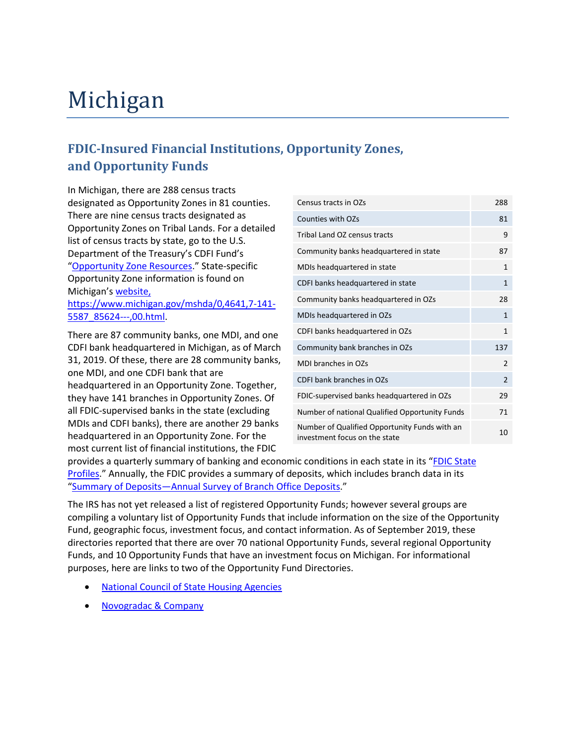## Michigan

### **FDIC-Insured Financial Institutions, Opportunity Zones, and Opportunity Funds**

 designated as Opportunity Zones in 81 counties. In Michigan, there are 288 census tracts There are nine census tracts designated as Opportunity Zones on Tribal Lands. For a detailed list of census tracts by state, go to the U.S. Department of the Treasury's CDFI Fund's ["Opportunity Zone Resources.](https://www.cdfifund.gov/Pages/Opportunity-Zones.aspx)" State-specific Opportunity Zone information is found on Michigan'[s website,](https://www.michigan.gov/mshda/0,4641,7-141-5587_85624---,00.html)

[https://www.michigan.gov/mshda/0,4641,7-141-](https://www.michigan.gov/mshda/0,4641,7-141-5587_85624---,00.html) [5587\\_85624---,00.html.](https://www.michigan.gov/mshda/0,4641,7-141-5587_85624---,00.html)

 There are 87 community banks, one MDI, and one CDFI bank headquartered in Michigan, as of March 31, 2019. Of these, there are 28 community banks, one MDI, and one CDFI bank that are headquartered in an Opportunity Zone. Together, they have 141 branches in Opportunity Zones. Of all FDIC-supervised banks in the state (excluding MDIs and CDFI banks), there are another 29 banks headquartered in an Opportunity Zone. For the most current list of financial institutions, the FDIC

| Census tracts in OZs                                                           | 288            |
|--------------------------------------------------------------------------------|----------------|
| <b>Counties with OZs</b>                                                       | 81             |
| Tribal Land OZ census tracts                                                   | 9              |
| Community banks headquartered in state                                         | 87             |
| MDIs headquartered in state                                                    | $\mathbf{1}$   |
| CDFI banks headquartered in state                                              | 1              |
| Community banks headquartered in OZs                                           | 28             |
| MDIs headquartered in OZs                                                      | 1              |
| CDFI banks headquartered in OZs                                                | $\mathbf{1}$   |
| Community bank branches in OZs                                                 | 137            |
| MDI branches in OZs                                                            | $\overline{2}$ |
| CDFI bank branches in OZs                                                      | 2              |
| FDIC-supervised banks headquartered in OZs                                     | 29             |
| Number of national Qualified Opportunity Funds                                 | 71             |
| Number of Qualified Opportunity Funds with an<br>investment focus on the state | 10             |

[Profiles.](https://www.fdic.gov/bank/analytical/stateprofile/)" Annually, the FDIC provides a summary of deposits, which includes branch data in its provides a quarterly summary of banking and economic conditions in each state in its ["FDIC State](https://www.fdic.gov/bank/analytical/stateprofile/)  ["Summary of Deposits—Annual Survey of Branch Office Deposits.](https://www.fdic.gov/regulations/resources/call/sod.html)"

 compiling a voluntary list of Opportunity Funds that include information on the size of the Opportunity purposes, here are links to two of the Opportunity Fund Directories. The IRS has not yet released a list of registered Opportunity Funds; however several groups are Fund, geographic focus, investment focus, and contact information. As of September 2019, these directories reported that there are over 70 national Opportunity Funds, several regional Opportunity Funds, and 10 Opportunity Funds that have an investment focus on Michigan. For informational

- [National Council of State Housing Agencies](https://www.ncsha.org/resource/opportunity-zone-fund-directory/?utm_source=NCSHA&utm_campaign=fd163308e1-EMAIL_CAMPAIGN_2018_12_12_03_44_COPY_01&utm_medium=email&utm_term=0_f00bc192e4-fd163308e1-70847427)
- [Novogradac & Company](https://www.novoco.com/resource-centers/opportunity-zone-resource-center/opportunity-funds-listing)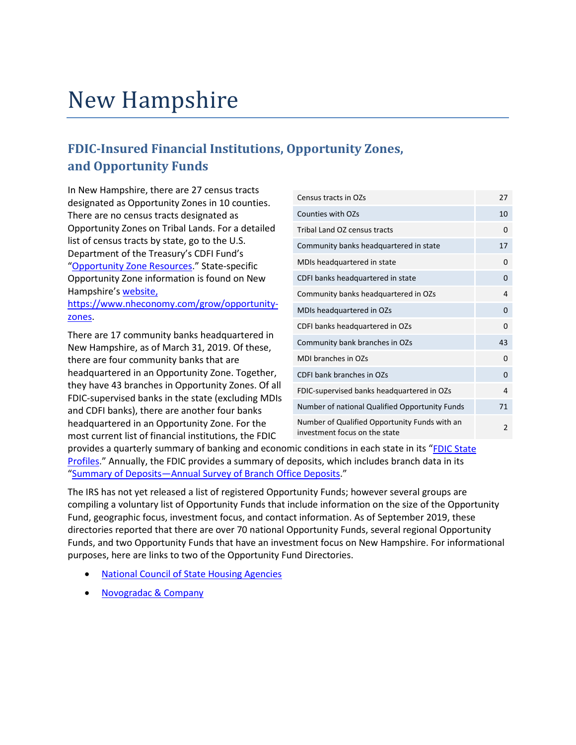## New Hampshire

### **FDIC-Insured Financial Institutions, Opportunity Zones, and Opportunity Funds**

 designated as Opportunity Zones in 10 counties. In New Hampshire, there are 27 census tracts There are no census tracts designated as Opportunity Zones on Tribal Lands. For a detailed list of census tracts by state, go to the U.S. Department of the Treasury's CDFI Fund's ["Opportunity Zone Resources.](https://www.cdfifund.gov/Pages/Opportunity-Zones.aspx)" State-specific Opportunity Zone information is found on New Hampshire's [website,](https://www.nheconomy.com/grow/opportunity-zones)

[https://www.nheconomy.com/grow/opportunity](https://www.nheconomy.com/grow/opportunity-zones)[zones.](https://www.nheconomy.com/grow/opportunity-zones)

There are 17 community banks headquartered in New Hampshire, as of March 31, 2019. Of these, there are four community banks that are headquartered in an Opportunity Zone. Together, they have 43 branches in Opportunity Zones. Of all FDIC-supervised banks in the state (excluding MDIs and CDFI banks), there are another four banks headquartered in an Opportunity Zone. For the most current list of financial institutions, the FDIC

| Census tracts in OZs                                                           | 27             |
|--------------------------------------------------------------------------------|----------------|
| Counties with OZs                                                              | 10             |
| Tribal Land OZ census tracts                                                   | 0              |
| Community banks headquartered in state                                         | 17             |
| MDIs headquartered in state                                                    | 0              |
| CDFI banks headquartered in state                                              | 0              |
| Community banks headquartered in OZs                                           | 4              |
| MDIs headquartered in OZs                                                      | 0              |
| CDFI banks headquartered in OZs                                                | 0              |
| Community bank branches in OZs                                                 | 43             |
| MDI branches in OZs                                                            | $\Omega$       |
| CDFI bank branches in OZs                                                      | $\Omega$       |
| FDIC-supervised banks headquartered in OZs                                     | 4              |
| Number of national Qualified Opportunity Funds                                 | 71             |
| Number of Qualified Opportunity Funds with an<br>investment focus on the state | $\overline{2}$ |

[Profiles.](https://www.fdic.gov/bank/analytical/stateprofile/)" Annually, the FDIC provides a summary of deposits, which includes branch data in its provides a quarterly summary of banking and economic conditions in each state in its ["FDIC State](https://www.fdic.gov/bank/analytical/stateprofile/)  ["Summary of Deposits—Annual Survey of Branch Office Deposits.](https://www.fdic.gov/regulations/resources/call/sod.html)"

 compiling a voluntary list of Opportunity Funds that include information on the size of the Opportunity purposes, here are links to two of the Opportunity Fund Directories. The IRS has not yet released a list of registered Opportunity Funds; however several groups are Fund, geographic focus, investment focus, and contact information. As of September 2019, these directories reported that there are over 70 national Opportunity Funds, several regional Opportunity Funds, and two Opportunity Funds that have an investment focus on New Hampshire. For informational

- **National Council of State Housing Agencies**
- [Novogradac & Company](https://www.novoco.com/resource-centers/opportunity-zone-resource-center/opportunity-funds-listing)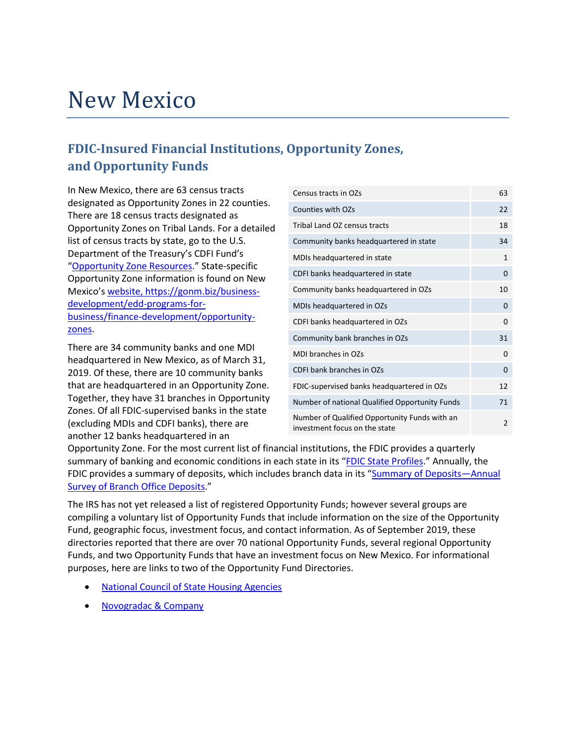## New Mexico

### **FDIC-Insured Financial Institutions, Opportunity Zones, and Opportunity Funds**

 designated as Opportunity Zones in 22 counties. There are 18 census tracts designated as In New Mexico, there are 63 census tracts Opportunity Zones on Tribal Lands. For a detailed list of census tracts by state, go to the U.S. Department of the Treasury's CDFI Fund's ["Opportunity Zone Resources.](https://www.cdfifund.gov/Pages/Opportunity-Zones.aspx)" State-specific Opportunity Zone information is found on New Mexico's [website, https://gonm.biz/business](https://gonm.biz/business-development/edd-programs-for-business/finance-development/opportunity-zones)[development/edd-programs-for](https://gonm.biz/business-development/edd-programs-for-business/finance-development/opportunity-zones)[business/finance-development/opportunity](https://gonm.biz/business-development/edd-programs-for-business/finance-development/opportunity-zones)[zones.](https://gonm.biz/business-development/edd-programs-for-business/finance-development/opportunity-zones)

 2019. Of these, there are 10 community banks There are 34 community banks and one MDI headquartered in New Mexico, as of March 31, that are headquartered in an Opportunity Zone. Together, they have 31 branches in Opportunity Zones. Of all FDIC-supervised banks in the state (excluding MDIs and CDFI banks), there are another 12 banks headquartered in an

| Census tracts in OZs                                                           | 63             |
|--------------------------------------------------------------------------------|----------------|
| Counties with OZs                                                              | 22             |
| Tribal Land OZ census tracts                                                   | 18             |
| Community banks headquartered in state                                         | 34             |
| MDIs headquartered in state                                                    | $\mathbf{1}$   |
| CDFI banks headquartered in state                                              | 0              |
| Community banks headquartered in OZs                                           | 10             |
| MDIs headquartered in OZs                                                      | 0              |
| CDFI banks headquartered in OZs                                                | 0              |
| Community bank branches in OZs                                                 | 31             |
| MDI branches in OZs                                                            | 0              |
| CDFI bank branches in OZs                                                      | $\Omega$       |
| FDIC-supervised banks headquartered in OZs                                     | 12             |
| Number of national Qualified Opportunity Funds                                 | 71             |
| Number of Qualified Opportunity Funds with an<br>investment focus on the state | $\overline{2}$ |

**[Survey of Branch Office Deposits.](https://www.fdic.gov/regulations/resources/call/sod.html)"** Opportunity Zone. For the most current list of financial institutions, the FDIC provides a quarterly summary of banking and economic conditions in each state in its ["FDIC State Profiles.](https://www.fdic.gov/bank/analytical/stateprofile/)" Annually, the FDIC provides a summary of deposits, which includes branch data in its ["Summary of Deposits—Annual](https://www.fdic.gov/regulations/resources/call/sod.html) 

 compiling a voluntary list of Opportunity Funds that include information on the size of the Opportunity purposes, here are links to two of the Opportunity Fund Directories. The IRS has not yet released a list of registered Opportunity Funds; however several groups are Fund, geographic focus, investment focus, and contact information. As of September 2019, these directories reported that there are over 70 national Opportunity Funds, several regional Opportunity Funds, and two Opportunity Funds that have an investment focus on New Mexico. For informational

- [National Council of State Housing Agencies](https://www.ncsha.org/resource/opportunity-zone-fund-directory/?utm_source=NCSHA&utm_campaign=fd163308e1-EMAIL_CAMPAIGN_2018_12_12_03_44_COPY_01&utm_medium=email&utm_term=0_f00bc192e4-fd163308e1-70847427)
- [Novogradac & Company](https://www.novoco.com/resource-centers/opportunity-zone-resource-center/opportunity-funds-listing)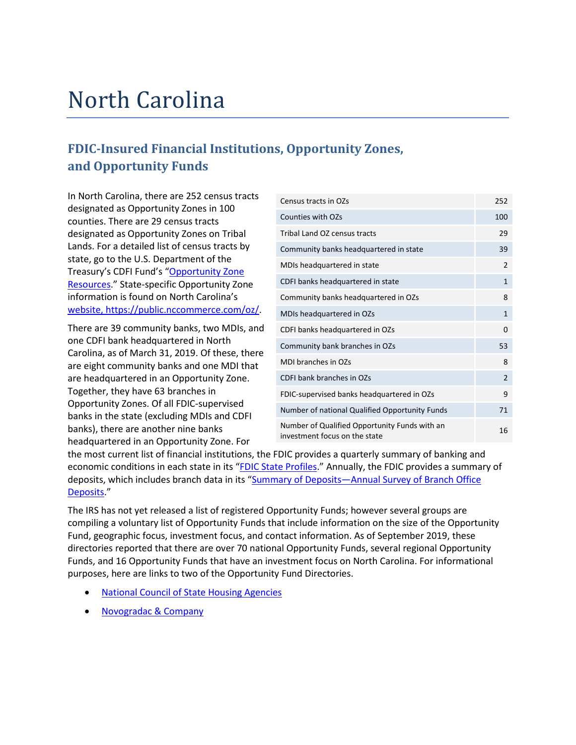## North Carolina

### **FDIC-Insured Financial Institutions, Opportunity Zones, and Opportunity Funds**

 designated as Opportunity Zones in 100 counties. There are 29 census tracts designated as Opportunity Zones on Tribal [Resources.](https://www.cdfifund.gov/Pages/Opportunity-Zones.aspx)" State-specific Opportunity Zone information is found on North Carolina's In North Carolina, there are 252 census tracts Lands. For a detailed list of census tracts by state, go to the U.S. Department of the Treasury's CDFI Fund's ["Opportunity Zone](https://www.cdfifund.gov/Pages/Opportunity-Zones.aspx)  [website, https://public.nccommerce.com/oz/.](https://public.nccommerce.com/oz/)

 There are 39 community banks, two MDIs, and are eight community banks and one MDI that one CDFI bank headquartered in North Carolina, as of March 31, 2019. Of these, there are headquartered in an Opportunity Zone. Together, they have 63 branches in Opportunity Zones. Of all FDIC-supervised banks in the state (excluding MDIs and CDFI banks), there are another nine banks headquartered in an Opportunity Zone. For

| Census tracts in OZs                                                           | 252          |
|--------------------------------------------------------------------------------|--------------|
| Counties with OZs                                                              | 100          |
| Tribal Land OZ census tracts                                                   | 29           |
| Community banks headquartered in state                                         | 39           |
| MDIs headquartered in state                                                    | 2            |
| CDFI banks headquartered in state                                              | $\mathbf{1}$ |
| Community banks headquartered in OZs                                           | 8            |
| MDIs headquartered in OZs                                                      | $\mathbf{1}$ |
| CDFI banks headquartered in OZs                                                | 0            |
| Community bank branches in OZs                                                 | 53           |
| MDI branches in OZs                                                            | 8            |
| CDFI bank branches in OZs                                                      | 2            |
| FDIC-supervised banks headquartered in OZs                                     | 9            |
| Number of national Qualified Opportunity Funds                                 | 71           |
| Number of Qualified Opportunity Funds with an<br>investment focus on the state | 16           |

economic conditions in each state in its "EDIC State Profiles." Annually, the FDIC provides a summary of the most current list of financial institutions, the FDIC provides a quarterly summary of banking and deposits, which includes branch data in its ["Summary of Deposits—Annual Survey of Branch Office](https://www.fdic.gov/regulations/resources/call/sod.html)  [Deposits.](https://www.fdic.gov/regulations/resources/call/sod.html)"

 compiling a voluntary list of Opportunity Funds that include information on the size of the Opportunity purposes, here are links to two of the Opportunity Fund Directories. The IRS has not yet released a list of registered Opportunity Funds; however several groups are Fund, geographic focus, investment focus, and contact information. As of September 2019, these directories reported that there are over 70 national Opportunity Funds, several regional Opportunity Funds, and 16 Opportunity Funds that have an investment focus on North Carolina. For informational

- [National Council of State Housing Agencies](https://www.ncsha.org/resource/opportunity-zone-fund-directory/?utm_source=NCSHA&utm_campaign=fd163308e1-EMAIL_CAMPAIGN_2018_12_12_03_44_COPY_01&utm_medium=email&utm_term=0_f00bc192e4-fd163308e1-70847427)
- [Novogradac & Company](https://www.novoco.com/resource-centers/opportunity-zone-resource-center/opportunity-funds-listing)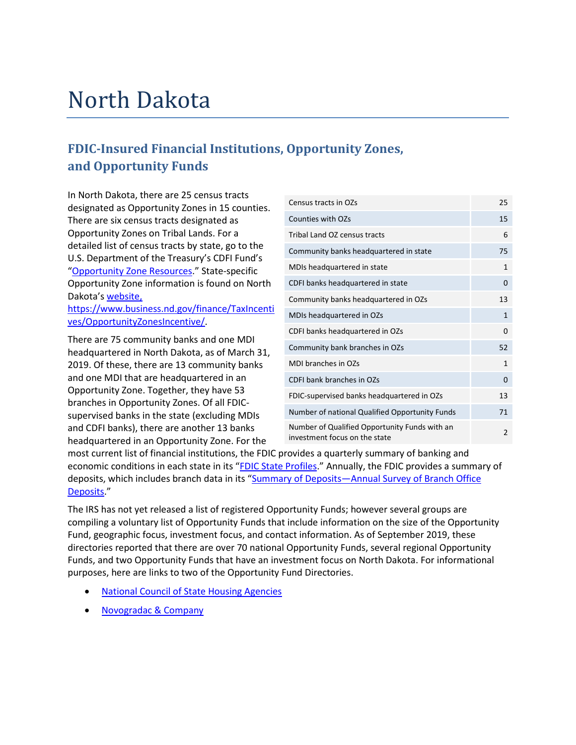## North Dakota

### **FDIC-Insured Financial Institutions, Opportunity Zones, and Opportunity Funds**

 In North Dakota, there are 25 census tracts designated as Opportunity Zones in 15 counties. There are six census tracts designated as Opportunity Zones on Tribal Lands. For a detailed list of census tracts by state, go to the U.S. Department of the Treasury's CDFI Fund's ["Opportunity Zone Resources.](https://www.cdfifund.gov/Pages/Opportunity-Zones.aspx)" State-specific Opportunity Zone information is found on North Dakota's [website,](https://www.business.nd.gov/finance/TaxIncentives/OpportunityZonesIncentive/)

[https://www.business.nd.gov/finance/TaxIncenti](https://www.business.nd.gov/finance/TaxIncentives/OpportunityZonesIncentive/)  [ves/OpportunityZonesIncentive/.](https://www.business.nd.gov/finance/TaxIncentives/OpportunityZonesIncentive/)

 2019. Of these, there are 13 community banks There are 75 community banks and one MDI headquartered in North Dakota, as of March 31, and one MDI that are headquartered in an Opportunity Zone. Together, they have 53 branches in Opportunity Zones. Of all FDICsupervised banks in the state (excluding MDIs and CDFI banks), there are another 13 banks headquartered in an Opportunity Zone. For the

| Census tracts in OZs                                                           | 25             |
|--------------------------------------------------------------------------------|----------------|
| Counties with OZs                                                              | 15             |
| Tribal Land OZ census tracts                                                   | 6              |
| Community banks headquartered in state                                         | 75             |
| MDIs headquartered in state                                                    | 1              |
| CDFI banks headquartered in state                                              | 0              |
| Community banks headquartered in OZs                                           | 13             |
| MDIs headquartered in OZs                                                      | $\mathbf{1}$   |
| CDFI banks headquartered in OZs                                                | 0              |
| Community bank branches in OZs                                                 | 52             |
| MDI branches in OZs                                                            | $\mathbf{1}$   |
| CDFI bank branches in OZs                                                      | 0              |
| FDIC-supervised banks headquartered in OZs                                     | 13             |
| Number of national Qualified Opportunity Funds                                 | 71             |
| Number of Qualified Opportunity Funds with an<br>investment focus on the state | $\overline{2}$ |

economic conditions in each state in its "**FDIC State Profiles**." Annually, the FDIC provides a summary of most current list of financial institutions, the FDIC provides a quarterly summary of banking and deposits, which includes branch data in its ["Summary of Deposits—Annual Survey of Branch Office](https://www.fdic.gov/regulations/resources/call/sod.html)  [Deposits.](https://www.fdic.gov/regulations/resources/call/sod.html)"

 compiling a voluntary list of Opportunity Funds that include information on the size of the Opportunity purposes, here are links to two of the Opportunity Fund Directories. The IRS has not yet released a list of registered Opportunity Funds; however several groups are Fund, geographic focus, investment focus, and contact information. As of September 2019, these directories reported that there are over 70 national Opportunity Funds, several regional Opportunity Funds, and two Opportunity Funds that have an investment focus on North Dakota. For informational

- [National Council of State Housing Agencies](https://www.ncsha.org/resource/opportunity-zone-fund-directory/?utm_source=NCSHA&utm_campaign=fd163308e1-EMAIL_CAMPAIGN_2018_12_12_03_44_COPY_01&utm_medium=email&utm_term=0_f00bc192e4-fd163308e1-70847427)
- [Novogradac & Company](https://www.novoco.com/resource-centers/opportunity-zone-resource-center/opportunity-funds-listing)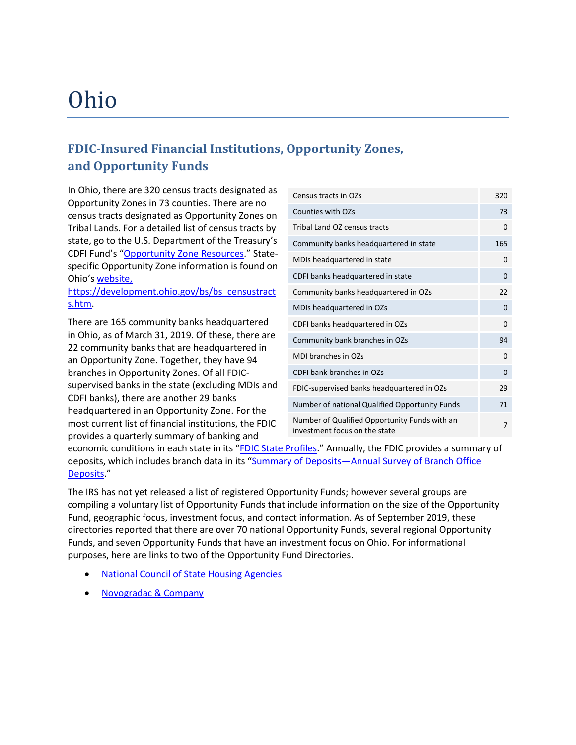## Ohio

### **FDIC-Insured Financial Institutions, Opportunity Zones, and Opportunity Funds**

 census tracts designated as Opportunity Zones on Tribal Lands. For a detailed list of census tracts by specific Opportunity Zone information is found on In Ohio, there are 320 census tracts designated as Opportunity Zones in 73 counties. There are no state, go to the U.S. Department of the Treasury's CDFI Fund's ["Opportunity Zone Resources.](https://www.cdfifund.gov/Pages/Opportunity-Zones.aspx)" State-Ohio's [website,](https://development.ohio.gov/bs/bs_censustracts.htm)

[https://development.ohio.gov/bs/bs\\_censustract](https://development.ohio.gov/bs/bs_censustracts.htm)  [s.htm.](https://development.ohio.gov/bs/bs_censustracts.htm)

There are 165 community banks headquartered in Ohio, as of March 31, 2019. Of these, there are 22 community banks that are headquartered in an Opportunity Zone. Together, they have 94 branches in Opportunity Zones. Of all FDICsupervised banks in the state (excluding MDIs and CDFI banks), there are another 29 banks headquartered in an Opportunity Zone. For the most current list of financial institutions, the FDIC provides a quarterly summary of banking and

| Census tracts in OZs                                                           | 320      |
|--------------------------------------------------------------------------------|----------|
| Counties with OZs                                                              | 73       |
| Tribal Land OZ census tracts                                                   | 0        |
| Community banks headquartered in state                                         | 165      |
| MDIs headquartered in state                                                    | 0        |
| CDFI banks headquartered in state                                              | $\Omega$ |
| Community banks headquartered in OZs                                           | 22       |
| MDIs headquartered in OZs                                                      | 0        |
| CDFI banks headquartered in OZs                                                | 0        |
| Community bank branches in OZs                                                 | 94       |
| MDI branches in OZs                                                            | $\Omega$ |
| CDFI bank branches in OZs                                                      | $\Omega$ |
| FDIC-supervised banks headquartered in OZs                                     | 29       |
| Number of national Qualified Opportunity Funds                                 | 71       |
| Number of Qualified Opportunity Funds with an<br>investment focus on the state | 7        |

economic conditions in each state in its "**FDIC State Profiles**." Annually, the FDIC provides a summary of deposits, which includes branch data in its "Summary of Deposits-Annual Survey of Branch Office [Deposits.](https://www.fdic.gov/regulations/resources/call/sod.html)"

 compiling a voluntary list of Opportunity Funds that include information on the size of the Opportunity purposes, here are links to two of the Opportunity Fund Directories. The IRS has not yet released a list of registered Opportunity Funds; however several groups are Fund, geographic focus, investment focus, and contact information. As of September 2019, these directories reported that there are over 70 national Opportunity Funds, several regional Opportunity Funds, and seven Opportunity Funds that have an investment focus on Ohio. For informational

- **National Council of State Housing Agencies**
- [Novogradac & Company](https://www.novoco.com/resource-centers/opportunity-zone-resource-center/opportunity-funds-listing)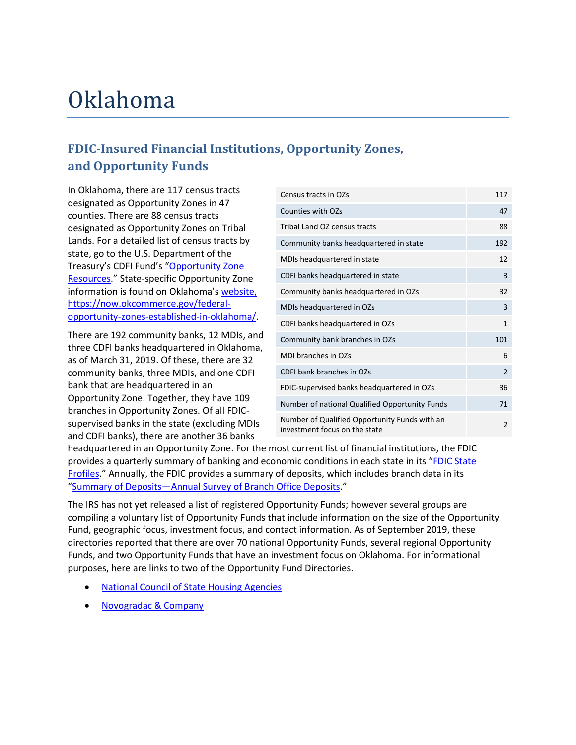## Oklahoma

### **FDIC-Insured Financial Institutions, Opportunity Zones, and Opportunity Funds**

 In Oklahoma, there are 117 census tracts designated as Opportunity Zones in 47 counties. There are 88 census tracts designated as Opportunity Zones on Tribal [Resources.](https://www.cdfifund.gov/Pages/Opportunity-Zones.aspx)" State-specific Opportunity Zone information is found on Oklahoma's [website,](https://now.okcommerce.gov/federal-opportunity-zones-established-in-oklahoma/) Lands. For a detailed list of census tracts by state, go to the U.S. Department of the Treasury's CDFI Fund's ["Opportunity Zone](https://www.cdfifund.gov/Pages/Opportunity-Zones.aspx)  [https://now.okcommerce.gov/federal](https://now.okcommerce.gov/federal-opportunity-zones-established-in-oklahoma/)[opportunity-zones-established-in-oklahoma/.](https://now.okcommerce.gov/federal-opportunity-zones-established-in-oklahoma/)

 as of March 31, 2019. Of these, there are 32 community banks, three MDIs, and one CDFI and CDFI banks), there are another 36 banks There are 192 community banks, 12 MDIs, and three CDFI banks headquartered in Oklahoma, bank that are headquartered in an Opportunity Zone. Together, they have 109 branches in Opportunity Zones. Of all FDICsupervised banks in the state (excluding MDIs

| Census tracts in OZs                                                           | 117            |
|--------------------------------------------------------------------------------|----------------|
| Counties with OZs                                                              | 47             |
| Tribal Land OZ census tracts                                                   | 88             |
| Community banks headquartered in state                                         | 192            |
| MDIs headquartered in state                                                    | 12             |
| CDFI banks headquartered in state                                              | 3              |
| Community banks headquartered in OZs                                           | 32             |
| MDIs headquartered in OZs                                                      | 3              |
| CDFI banks headquartered in OZs                                                | $\mathbf{1}$   |
| Community bank branches in OZs                                                 | 101            |
| MDI branches in OZs                                                            | 6              |
| CDFI bank branches in OZs                                                      | $\overline{2}$ |
| FDIC-supervised banks headquartered in OZs                                     | 36             |
| Number of national Qualified Opportunity Funds                                 | 71             |
| Number of Qualified Opportunity Funds with an<br>investment focus on the state | $\overline{2}$ |

[Profiles.](https://www.fdic.gov/bank/analytical/stateprofile/)" Annually, the FDIC provides a summary of deposits, which includes branch data in its headquartered in an Opportunity Zone. For the most current list of financial institutions, the FDIC provides a quarterly summary of banking and economic conditions in each state in its ["FDIC State](https://www.fdic.gov/bank/analytical/stateprofile/)  ["Summary of Deposits—Annual Survey of Branch Office Deposits.](https://www.fdic.gov/regulations/resources/call/sod.html)"

 compiling a voluntary list of Opportunity Funds that include information on the size of the Opportunity purposes, here are links to two of the Opportunity Fund Directories. The IRS has not yet released a list of registered Opportunity Funds; however several groups are Fund, geographic focus, investment focus, and contact information. As of September 2019, these directories reported that there are over 70 national Opportunity Funds, several regional Opportunity Funds, and two Opportunity Funds that have an investment focus on Oklahoma. For informational

- [National Council of State Housing Agencies](https://www.ncsha.org/resource/opportunity-zone-fund-directory/?utm_source=NCSHA&utm_campaign=fd163308e1-EMAIL_CAMPAIGN_2018_12_12_03_44_COPY_01&utm_medium=email&utm_term=0_f00bc192e4-fd163308e1-70847427)
- [Novogradac & Company](https://www.novoco.com/resource-centers/opportunity-zone-resource-center/opportunity-funds-listing)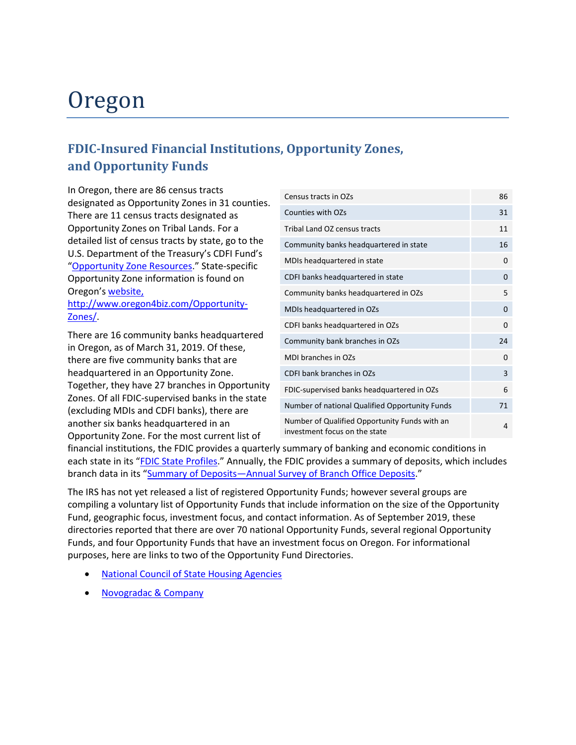## Oregon

### **FDIC-Insured Financial Institutions, Opportunity Zones, and Opportunity Funds**

 In Oregon, there are 86 census tracts designated as Opportunity Zones in 31 counties. There are 11 census tracts designated as Opportunity Zones on Tribal Lands. For a detailed list of census tracts by state, go to the U.S. Department of the Treasury's CDFI Fund's ["Opportunity Zone Resources.](https://www.cdfifund.gov/Pages/Opportunity-Zones.aspx)" State-specific Opportunity Zone information is found on Oregon's [website,](http://www.oregon4biz.com/Opportunity-Zones/)

[http://www.oregon4biz.com/Opportunity-](http://www.oregon4biz.com/Opportunity-Zones/)[Zones/.](http://www.oregon4biz.com/Opportunity-Zones/)

 in Oregon, as of March 31, 2019. Of these, There are 16 community banks headquartered there are five community banks that are headquartered in an Opportunity Zone. Together, they have 27 branches in Opportunity Zones. Of all FDIC-supervised banks in the state (excluding MDIs and CDFI banks), there are another six banks headquartered in an Opportunity Zone. For the most current list of

| Census tracts in OZs                                                           | 86 |
|--------------------------------------------------------------------------------|----|
| Counties with OZs                                                              | 31 |
| Tribal Land OZ census tracts                                                   | 11 |
| Community banks headquartered in state                                         | 16 |
| MDIs headquartered in state                                                    | 0  |
| CDFI banks headquartered in state                                              | 0  |
| Community banks headquartered in OZs                                           | 5  |
| MDIs headquartered in OZs                                                      | 0  |
| CDFI banks headquartered in OZs                                                | 0  |
| Community bank branches in OZs                                                 | 24 |
| MDI branches in OZs                                                            | 0  |
| CDFI bank branches in OZs                                                      | 3  |
| FDIC-supervised banks headquartered in OZs                                     | 6  |
| Number of national Qualified Opportunity Funds                                 | 71 |
| Number of Qualified Opportunity Funds with an<br>investment focus on the state | 4  |

financial institutions, the FDIC provides a quarterly summary of banking and economic conditions in each state in its ["FDIC State Profiles.](https://www.fdic.gov/bank/analytical/stateprofile/)" Annually, the FDIC provides a summary of deposits, which includes branch data in its ["Summary of Deposits—Annual Survey of Branch Office Deposits.](https://www.fdic.gov/regulations/resources/call/sod.html)"

 compiling a voluntary list of Opportunity Funds that include information on the size of the Opportunity purposes, here are links to two of the Opportunity Fund Directories. The IRS has not yet released a list of registered Opportunity Funds; however several groups are Fund, geographic focus, investment focus, and contact information. As of September 2019, these directories reported that there are over 70 national Opportunity Funds, several regional Opportunity Funds, and four Opportunity Funds that have an investment focus on Oregon. For informational

- **National Council of State Housing Agencies**
- [Novogradac & Company](https://www.novoco.com/resource-centers/opportunity-zone-resource-center/opportunity-funds-listing)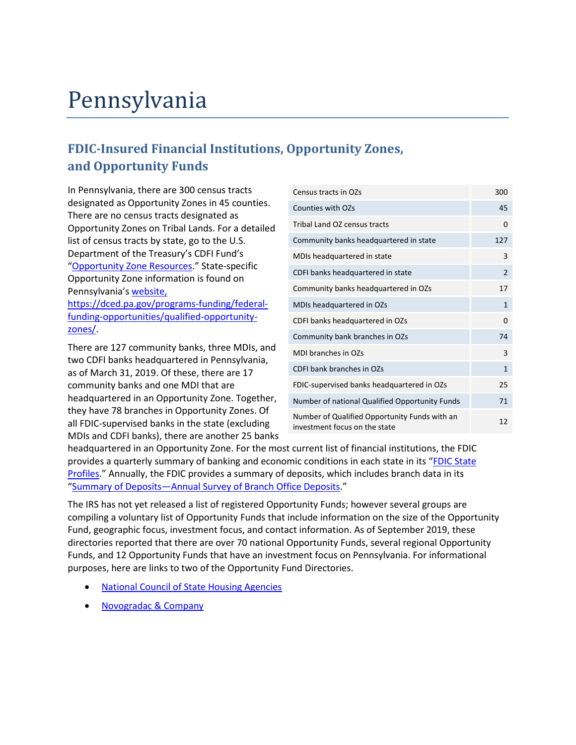## Pennsylvania

### **FDIC-Insured Financial Institutions, Opportunity Zones, and Opportunity Funds**

 In Pennsylvania, there are 300 census tracts designated as Opportunity Zones in 45 counties. There are no census tracts designated as Opportunity Zones on Tribal Lands. For a detailed list of census tracts by state, go to the U.S. Department of the Treasury's CDFI Fund's ["Opportunity Zone Resources.](https://www.cdfifund.gov/Pages/Opportunity-Zones.aspx)" State-specific Opportunity Zone information is found on Pennsylvania's [website,](https://dced.pa.gov/programs-funding/federal-funding-opportunities/qualified-opportunity-zones/)

[https://dced.pa.gov/programs-funding/federal](https://dced.pa.gov/programs-funding/federal-funding-opportunities/qualified-opportunity-zones/)[funding-opportunities/qualified-opportunity](https://dced.pa.gov/programs-funding/federal-funding-opportunities/qualified-opportunity-zones/)[zones/.](https://dced.pa.gov/programs-funding/federal-funding-opportunities/qualified-opportunity-zones/)

 as of March 31, 2019. Of these, there are 17 community banks and one MDI that are There are 127 community banks, three MDIs, and two CDFI banks headquartered in Pennsylvania, headquartered in an Opportunity Zone. Together, they have 78 branches in Opportunity Zones. Of all FDIC-supervised banks in the state (excluding MDIs and CDFI banks), there are another 25 banks

| Census tracts in OZs                                                           | 300            |
|--------------------------------------------------------------------------------|----------------|
| Counties with OZs                                                              | 45             |
| Tribal Land OZ census tracts                                                   | $\Omega$       |
| Community banks headquartered in state                                         | 127            |
| MDIs headquartered in state                                                    | 3              |
| CDFI banks headquartered in state                                              | $\overline{2}$ |
| Community banks headquartered in OZs                                           | 17             |
| MDIs headquartered in OZs                                                      | $\mathbf{1}$   |
| CDFI banks headquartered in OZs                                                | 0              |
| Community bank branches in OZs                                                 | 74             |
| MDI branches in OZs                                                            | 3              |
| CDFI bank branches in OZs                                                      | $\mathbf{1}$   |
| FDIC-supervised banks headquartered in OZs                                     | 25             |
| Number of national Qualified Opportunity Funds                                 | 71             |
| Number of Qualified Opportunity Funds with an<br>investment focus on the state | 12             |

[Profiles.](https://www.fdic.gov/bank/analytical/stateprofile/)" Annually, the FDIC provides a summary of deposits, which includes branch data in its headquartered in an Opportunity Zone. For the most current list of financial institutions, the FDIC provides a quarterly summary of banking and economic conditions in each state in its ["FDIC State](https://www.fdic.gov/bank/analytical/stateprofile/)  ["Summary of Deposits—Annual Survey of Branch Office Deposits.](https://www.fdic.gov/regulations/resources/call/sod.html)"

 compiling a voluntary list of Opportunity Funds that include information on the size of the Opportunity purposes, here are links to two of the Opportunity Fund Directories. The IRS has not yet released a list of registered Opportunity Funds; however several groups are Fund, geographic focus, investment focus, and contact information. As of September 2019, these directories reported that there are over 70 national Opportunity Funds, several regional Opportunity Funds, and 12 Opportunity Funds that have an investment focus on Pennsylvania. For informational

- [National Council of State Housing Agencies](https://www.ncsha.org/resource/opportunity-zone-fund-directory/?utm_source=NCSHA&utm_campaign=fd163308e1-EMAIL_CAMPAIGN_2018_12_12_03_44_COPY_01&utm_medium=email&utm_term=0_f00bc192e4-fd163308e1-70847427)
- [Novogradac & Company](https://www.novoco.com/resource-centers/opportunity-zone-resource-center/opportunity-funds-listing)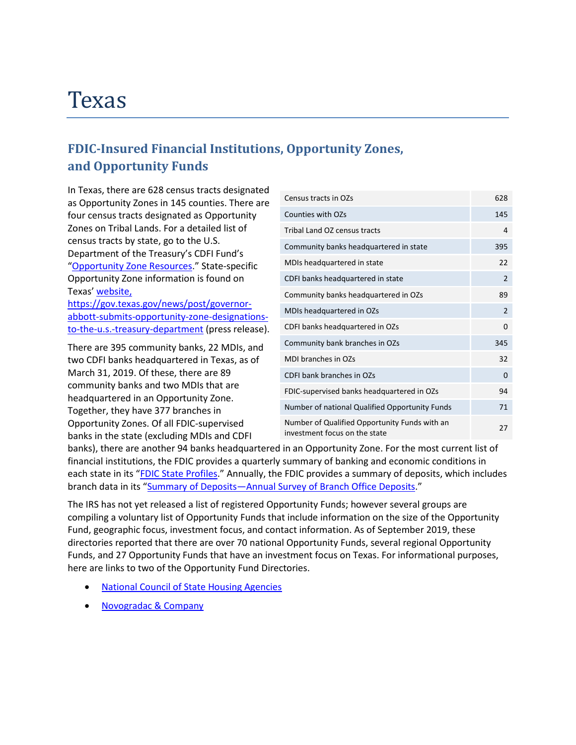### Texas

### **FDIC-Insured Financial Institutions, Opportunity Zones, and Opportunity Funds**

 census tracts by state, go to the U.S. In Texas, there are 628 census tracts designated as Opportunity Zones in 145 counties. There are four census tracts designated as Opportunity Zones on Tribal Lands. For a detailed list of Department of the Treasury's CDFI Fund's ["Opportunity Zone Resources.](https://www.cdfifund.gov/Pages/Opportunity-Zones.aspx)" State-specific Opportunity Zone information is found on Texas[' website,](https://gov.texas.gov/news/post/governor-abbott-submits-opportunity-zone-designations-to-the-u.s.-treasury-department)

[https://gov.texas.gov/news/post/governor](https://gov.texas.gov/news/post/governor-abbott-submits-opportunity-zone-designations-to-the-u.s.-treasury-department)[abbott-submits-opportunity-zone-designations](https://gov.texas.gov/news/post/governor-abbott-submits-opportunity-zone-designations-to-the-u.s.-treasury-department)[to-the-u.s.-treasury-department](https://gov.texas.gov/news/post/governor-abbott-submits-opportunity-zone-designations-to-the-u.s.-treasury-department) (press release).

There are 395 community banks, 22 MDIs, and two CDFI banks headquartered in Texas, as of March 31, 2019. Of these, there are 89 community banks and two MDIs that are headquartered in an Opportunity Zone. Together, they have 377 branches in Opportunity Zones. Of all FDIC-supervised banks in the state (excluding MDIs and CDFI

| Census tracts in OZs                                                           | 628            |
|--------------------------------------------------------------------------------|----------------|
| Counties with OZs                                                              | 145            |
| Tribal Land OZ census tracts                                                   | 4              |
| Community banks headquartered in state                                         | 395            |
| MDIs headquartered in state                                                    | 22             |
| CDFI banks headquartered in state                                              | 2              |
| Community banks headquartered in OZs                                           | 89             |
| MDIs headquartered in OZs                                                      | $\overline{2}$ |
| CDFI banks headquartered in OZs                                                | 0              |
| Community bank branches in OZs                                                 | 345            |
| MDI branches in OZs                                                            | 32             |
| CDFI bank branches in OZs                                                      | 0              |
| FDIC-supervised banks headquartered in OZs                                     | 94             |
| Number of national Qualified Opportunity Funds                                 | 71             |
| Number of Qualified Opportunity Funds with an<br>investment focus on the state | 27             |

 banks), there are another 94 banks headquartered in an Opportunity Zone. For the most current list of financial institutions, the FDIC provides a quarterly summary of banking and economic conditions in each state in its ["FDIC State Profiles.](https://www.fdic.gov/bank/analytical/stateprofile/)" Annually, the FDIC provides a summary of deposits, which includes branch data in its ["Summary of Deposits—Annual Survey of Branch Office Deposits.](https://www.fdic.gov/regulations/resources/call/sod.html)"

 compiling a voluntary list of Opportunity Funds that include information on the size of the Opportunity here are links to two of the Opportunity Fund Directories. The IRS has not yet released a list of registered Opportunity Funds; however several groups are Fund, geographic focus, investment focus, and contact information. As of September 2019, these directories reported that there are over 70 national Opportunity Funds, several regional Opportunity Funds, and 27 Opportunity Funds that have an investment focus on Texas. For informational purposes,

- [National Council of State Housing Agencies](https://www.ncsha.org/resource/opportunity-zone-fund-directory/?utm_source=NCSHA&utm_campaign=fd163308e1-EMAIL_CAMPAIGN_2018_12_12_03_44_COPY_01&utm_medium=email&utm_term=0_f00bc192e4-fd163308e1-70847427)
- [Novogradac & Company](https://www.novoco.com/resource-centers/opportunity-zone-resource-center/opportunity-funds-listing)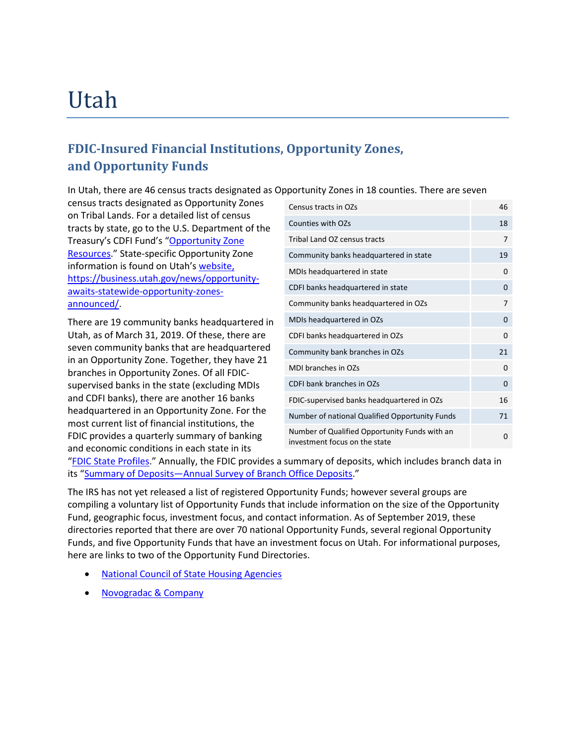## Utah

### **FDIC-Insured Financial Institutions, Opportunity Zones, and Opportunity Funds**

In Utah, there are 46 census tracts designated as Opportunity Zones in 18 counties. There are seven

 on Tribal Lands. For a detailed list of census information is found on Utah's [website,](https://business.utah.gov/news/opportunity-awaits-statewide-opportunity-zones-announced/) census tracts designated as Opportunity Zones tracts by state, go to the U.S. Department of the Treasury's CDFI Fund's ["Opportunity Zone](https://www.cdfifund.gov/Pages/Opportunity-Zones.aspx)  [Resources.](https://www.cdfifund.gov/Pages/Opportunity-Zones.aspx)" State-specific Opportunity Zone [https://business.utah.gov/news/opportunity](https://business.utah.gov/news/opportunity-awaits-statewide-opportunity-zones-announced/)[awaits-statewide-opportunity-zones](https://business.utah.gov/news/opportunity-awaits-statewide-opportunity-zones-announced/)[announced/.](https://business.utah.gov/news/opportunity-awaits-statewide-opportunity-zones-announced/)

 and CDFI banks), there are another 16 banks FDIC provides a quarterly summary of banking There are 19 community banks headquartered in Utah, as of March 31, 2019. Of these, there are seven community banks that are headquartered in an Opportunity Zone. Together, they have 21 branches in Opportunity Zones. Of all FDICsupervised banks in the state (excluding MDIs headquartered in an Opportunity Zone. For the most current list of financial institutions, the and economic conditions in each state in its

| Census tracts in OZs                                                           | 46       |
|--------------------------------------------------------------------------------|----------|
| Counties with OZs                                                              | 18       |
| Tribal Land OZ census tracts                                                   | 7        |
| Community banks headquartered in state                                         | 19       |
| MDIs headquartered in state                                                    | 0        |
| CDFI banks headquartered in state                                              | $\Omega$ |
| Community banks headquartered in OZs                                           | 7        |
| MDIs headquartered in OZs                                                      | 0        |
| CDFI banks headquartered in OZs                                                | 0        |
| Community bank branches in OZs                                                 | 21       |
| <b>MDI branches in OZs</b>                                                     | 0        |
| CDFI bank branches in OZs                                                      | 0        |
| FDIC-supervised banks headquartered in OZs                                     | 16       |
| Number of national Qualified Opportunity Funds                                 | 71       |
| Number of Qualified Opportunity Funds with an<br>investment focus on the state | 0        |
|                                                                                |          |

["FDIC State Profiles.](https://www.fdic.gov/bank/analytical/stateprofile/)" Annually, the FDIC provides a summary of deposits, which includes branch data in its ["Summary of Deposits—Annual Survey of Branch Office Deposits.](https://www.fdic.gov/regulations/resources/call/sod.html)"

 compiling a voluntary list of Opportunity Funds that include information on the size of the Opportunity here are links to two of the Opportunity Fund Directories. The IRS has not yet released a list of registered Opportunity Funds; however several groups are Fund, geographic focus, investment focus, and contact information. As of September 2019, these directories reported that there are over 70 national Opportunity Funds, several regional Opportunity Funds, and five Opportunity Funds that have an investment focus on Utah. For informational purposes,

- **National Council of State Housing Agencies**
- [Novogradac & Company](https://www.novoco.com/resource-centers/opportunity-zone-resource-center/opportunity-funds-listing)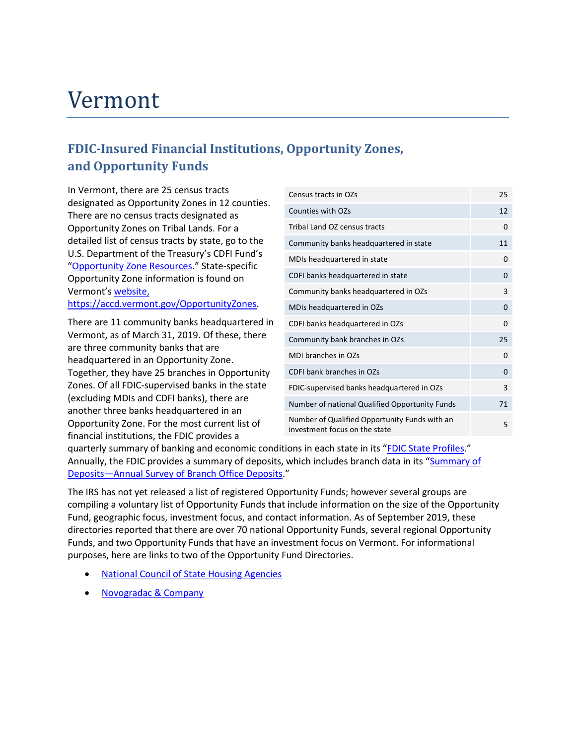## Vermont

### **FDIC-Insured Financial Institutions, Opportunity Zones, and Opportunity Funds**

 In Vermont, there are 25 census tracts designated as Opportunity Zones in 12 counties. There are no census tracts designated as Opportunity Zones on Tribal Lands. For a detailed list of census tracts by state, go to the U.S. Department of the Treasury's CDFI Fund's ["Opportunity Zone Resources.](https://www.cdfifund.gov/Pages/Opportunity-Zones.aspx)" State-specific Opportunity Zone information is found on Vermont's [website,](https://accd.vermont.gov/OpportunityZones)

[https://accd.vermont.gov/OpportunityZones.](https://accd.vermont.gov/OpportunityZones)

There are 11 community banks headquartered in Vermont, as of March 31, 2019. Of these, there are three community banks that are headquartered in an Opportunity Zone. Together, they have 25 branches in Opportunity Zones. Of all FDIC-supervised banks in the state (excluding MDIs and CDFI banks), there are another three banks headquartered in an Opportunity Zone. For the most current list of financial institutions, the FDIC provides a

| Census tracts in OZs                                                           | 25       |
|--------------------------------------------------------------------------------|----------|
| Counties with OZs                                                              | 12       |
| Tribal Land OZ census tracts                                                   | 0        |
| Community banks headquartered in state                                         | 11       |
| MDIs headquartered in state                                                    | 0        |
| CDFI banks headquartered in state                                              | $\Omega$ |
| Community banks headquartered in OZs                                           | 3        |
| MDIs headquartered in OZs                                                      | 0        |
| CDFI banks headquartered in OZs                                                | 0        |
| Community bank branches in OZs                                                 | 25       |
| MDI branches in OZs                                                            | $\Omega$ |
| CDFI bank branches in OZs                                                      | 0        |
| FDIC-supervised banks headquartered in OZs                                     | 3        |
| Number of national Qualified Opportunity Funds                                 | 71       |
| Number of Qualified Opportunity Funds with an<br>investment focus on the state | 5        |

quarterly summary of banking and economic conditions in each state in its ["FDIC State Profiles.](https://www.fdic.gov/bank/analytical/stateprofile/)" Annually, the FDIC provides a summary of deposits, which includes branch data in its ["Summary of](https://www.fdic.gov/regulations/resources/call/sod.html)  [Deposits—Annual Survey of Branch Office Deposits.](https://www.fdic.gov/regulations/resources/call/sod.html)"

 compiling a voluntary list of Opportunity Funds that include information on the size of the Opportunity purposes, here are links to two of the Opportunity Fund Directories. The IRS has not yet released a list of registered Opportunity Funds; however several groups are Fund, geographic focus, investment focus, and contact information. As of September 2019, these directories reported that there are over 70 national Opportunity Funds, several regional Opportunity Funds, and two Opportunity Funds that have an investment focus on Vermont. For informational

- **National Council of State Housing Agencies**
- [Novogradac & Company](https://www.novoco.com/resource-centers/opportunity-zone-resource-center/opportunity-funds-listing)